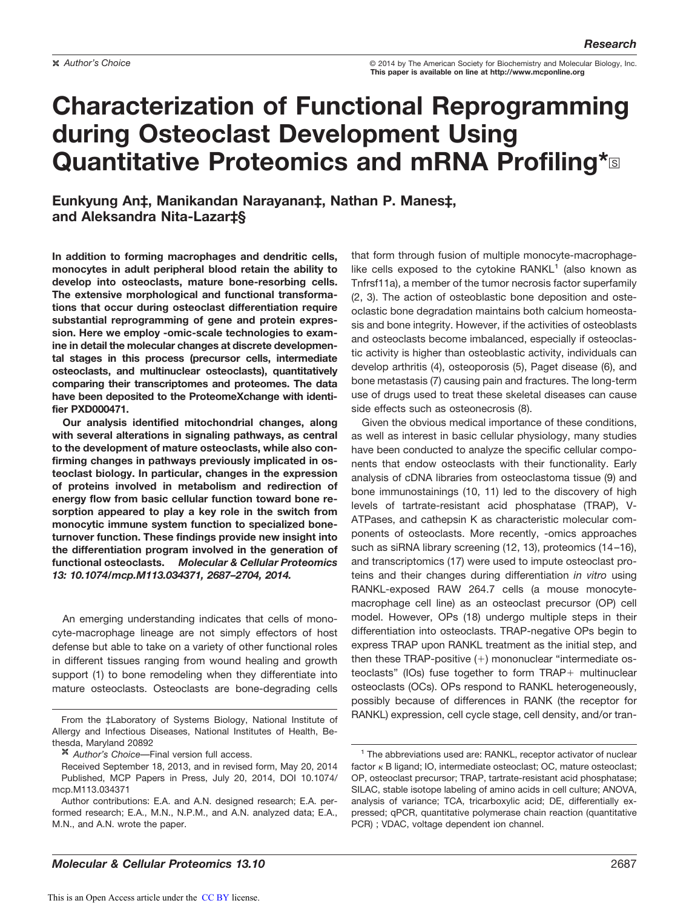**Author's Choice Example 2014 Contract Contract Contract Contract Contract Contract Contract Contract Contract Contract Contract Contract Contract Contract Contract Contract Contract Contract Contract Contract Contract This paper is available on line at http://www.mcponline.org**

# **Characterization of Functional Reprogramming during Osteoclast Development Using Quantitative Proteomics and mRNA Profiling\***<sup>®</sup>

**Eunkyung An‡, Manikandan Narayanan‡, Nathan P. Manes‡, and Aleksandra Nita-Lazar‡§**

**In addition to forming macrophages and dendritic cells, monocytes in adult peripheral blood retain the ability to develop into osteoclasts, mature bone-resorbing cells. The extensive morphological and functional transformations that occur during osteoclast differentiation require substantial reprogramming of gene and protein expression. Here we employ -omic-scale technologies to examine in detail the molecular changes at discrete developmental stages in this process (precursor cells, intermediate osteoclasts, and multinuclear osteoclasts), quantitatively comparing their transcriptomes and proteomes. The data have been deposited to the ProteomeXchange with identifier PXD000471.**

**Our analysis identified mitochondrial changes, along with several alterations in signaling pathways, as central to the development of mature osteoclasts, while also confirming changes in pathways previously implicated in osteoclast biology. In particular, changes in the expression of proteins involved in metabolism and redirection of energy flow from basic cellular function toward bone resorption appeared to play a key role in the switch from monocytic immune system function to specialized boneturnover function. These findings provide new insight into the differentiation program involved in the generation of functional osteoclasts.** *Molecular & Cellular Proteomics 13: 10.1074/mcp.M113.034371, 2687–2704, 2014.*

An emerging understanding indicates that cells of monocyte-macrophage lineage are not simply effectors of host defense but able to take on a variety of other functional roles in different tissues ranging from wound healing and growth support (1) to bone remodeling when they differentiate into mature osteoclasts. Osteoclasts are bone-degrading cells that form through fusion of multiple monocyte-macrophagelike cells exposed to the cytokine  $RANKL<sup>1</sup>$  (also known as Tnfrsf11a), a member of the tumor necrosis factor superfamily (2, 3). The action of osteoblastic bone deposition and osteoclastic bone degradation maintains both calcium homeostasis and bone integrity. However, if the activities of osteoblasts and osteoclasts become imbalanced, especially if osteoclastic activity is higher than osteoblastic activity, individuals can develop arthritis (4), osteoporosis (5), Paget disease (6), and bone metastasis (7) causing pain and fractures. The long-term use of drugs used to treat these skeletal diseases can cause side effects such as osteonecrosis (8).

Given the obvious medical importance of these conditions, as well as interest in basic cellular physiology, many studies have been conducted to analyze the specific cellular components that endow osteoclasts with their functionality. Early analysis of cDNA libraries from osteoclastoma tissue (9) and bone immunostainings (10, 11) led to the discovery of high levels of tartrate-resistant acid phosphatase (TRAP), V-ATPases, and cathepsin K as characteristic molecular components of osteoclasts. More recently, -omics approaches such as siRNA library screening (12, 13), proteomics (14–16), and transcriptomics (17) were used to impute osteoclast proteins and their changes during differentiation *in vitro* using RANKL-exposed RAW 264.7 cells (a mouse monocytemacrophage cell line) as an osteoclast precursor (OP) cell model. However, OPs (18) undergo multiple steps in their differentiation into osteoclasts. TRAP-negative OPs begin to express TRAP upon RANKL treatment as the initial step, and then these TRAP-positive (+) mononuclear "intermediate osteoclasts" (IOs) fuse together to form TRAP+ multinuclear osteoclasts (OCs). OPs respond to RANKL heterogeneously, possibly because of differences in RANK (the receptor for From the ‡Laboratory of Systems Biology, National Institute of RANKL) expression, cell cycle stage, cell density, and/or tran-

Allergy and Infectious Diseases, National Institutes of Health, Bethesda, Maryland 20892

*Author's Choice*—Final version full access.

Received September 18, 2013, and in revised form, May 20, 2014 Published, MCP Papers in Press, July 20, 2014, DOI 10.1074/ mcp.M113.034371

Author contributions: E.A. and A.N. designed research; E.A. performed research; E.A., M.N., N.P.M., and A.N. analyzed data; E.A., M.N., and A.N. wrote the paper.

<sup>&</sup>lt;sup>1</sup> The abbreviations used are: RANKL, receptor activator of nuclear factor  $\kappa$  B ligand; IO, intermediate osteoclast; OC, mature osteoclast; OP, osteoclast precursor; TRAP, tartrate-resistant acid phosphatase; SILAC, stable isotope labeling of amino acids in cell culture; ANOVA, analysis of variance; TCA, tricarboxylic acid; DE, differentially expressed; qPCR, quantitative polymerase chain reaction (quantitative PCR) ; VDAC, voltage dependent ion channel.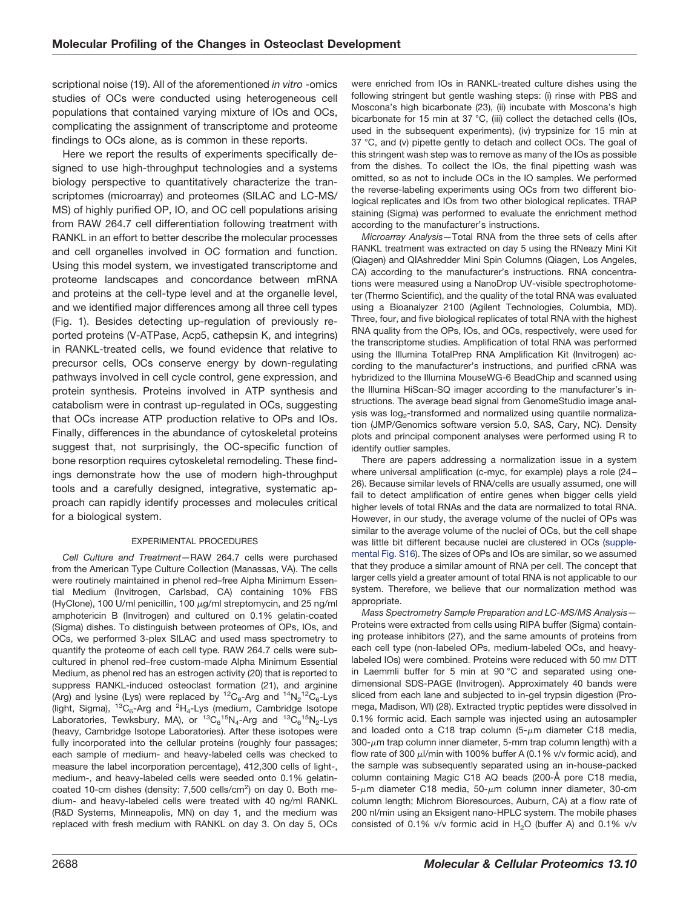scriptional noise (19). All of the aforementioned *in vitro* -omics studies of OCs were conducted using heterogeneous cell populations that contained varying mixture of IOs and OCs, complicating the assignment of transcriptome and proteome findings to OCs alone, as is common in these reports.

Here we report the results of experiments specifically designed to use high-throughput technologies and a systems biology perspective to quantitatively characterize the transcriptomes (microarray) and proteomes (SILAC and LC-MS/ MS) of highly purified OP, IO, and OC cell populations arising from RAW 264.7 cell differentiation following treatment with RANKL in an effort to better describe the molecular processes and cell organelles involved in OC formation and function. Using this model system, we investigated transcriptome and proteome landscapes and concordance between mRNA and proteins at the cell-type level and at the organelle level, and we identified major differences among all three cell types (Fig. 1). Besides detecting up-regulation of previously reported proteins (V-ATPase, Acp5, cathepsin K, and integrins) in RANKL-treated cells, we found evidence that relative to precursor cells, OCs conserve energy by down-regulating pathways involved in cell cycle control, gene expression, and protein synthesis. Proteins involved in ATP synthesis and catabolism were in contrast up-regulated in OCs, suggesting that OCs increase ATP production relative to OPs and IOs. Finally, differences in the abundance of cytoskeletal proteins suggest that, not surprisingly, the OC-specific function of bone resorption requires cytoskeletal remodeling. These findings demonstrate how the use of modern high-throughput tools and a carefully designed, integrative, systematic approach can rapidly identify processes and molecules critical for a biological system.

## EXPERIMENTAL PROCEDURES

*Cell Culture and Treatment—*RAW 264.7 cells were purchased from the American Type Culture Collection (Manassas, VA). The cells were routinely maintained in phenol red–free Alpha Minimum Essential Medium (Invitrogen, Carlsbad, CA) containing 10% FBS (HyClone), 100 U/ml penicillin, 100  $\mu$ g/ml streptomycin, and 25 ng/ml amphotericin B (Invitrogen) and cultured on 0.1% gelatin-coated (Sigma) dishes. To distinguish between proteomes of OPs, IOs, and OCs, we performed 3-plex SILAC and used mass spectrometry to quantify the proteome of each cell type. RAW 264.7 cells were subcultured in phenol red–free custom-made Alpha Minimum Essential Medium, as phenol red has an estrogen activity (20) that is reported to suppress RANKL-induced osteoclast formation (21), and arginine (Arg) and lysine (Lys) were replaced by  ${}^{12}C_6$ -Arg and  ${}^{14}N_2{}^{12}C_6$ -Lys (light, Sigma),  ${}^{13}C_6$ -Arg and  ${}^{2}H_4$ -Lys (medium, Cambridge Isotope Laboratories, Tewksbury, MA), or  ${}^{13}C_6{}^{15}N_4$ -Arg and  ${}^{13}C_6{}^{15}N_2$ -Lys (heavy, Cambridge Isotope Laboratories). After these isotopes were fully incorporated into the cellular proteins (roughly four passages; each sample of medium- and heavy-labeled cells was checked to measure the label incorporation percentage), 412,300 cells of light-, medium-, and heavy-labeled cells were seeded onto 0.1% gelatincoated 10-cm dishes (density: 7,500 cells/cm<sup>2</sup>) on day 0. Both medium- and heavy-labeled cells were treated with 40 ng/ml RANKL (R&D Systems, Minneapolis, MN) on day 1, and the medium was replaced with fresh medium with RANKL on day 3. On day 5, OCs

were enriched from IOs in RANKL-treated culture dishes using the following stringent but gentle washing steps: (i) rinse with PBS and Moscona's high bicarbonate (23), (ii) incubate with Moscona's high bicarbonate for 15 min at 37 °C, (iii) collect the detached cells (IOs, used in the subsequent experiments), (iv) trypsinize for 15 min at 37 °C, and (v) pipette gently to detach and collect OCs. The goal of this stringent wash step was to remove as many of the IOs as possible from the dishes. To collect the IOs, the final pipetting wash was omitted, so as not to include OCs in the IO samples. We performed the reverse-labeling experiments using OCs from two different biological replicates and IOs from two other biological replicates. TRAP staining (Sigma) was performed to evaluate the enrichment method according to the manufacturer's instructions.

*Microarray Analysis—*Total RNA from the three sets of cells after RANKL treatment was extracted on day 5 using the RNeazy Mini Kit (Qiagen) and QIAshredder Mini Spin Columns (Qiagen, Los Angeles, CA) according to the manufacturer's instructions. RNA concentrations were measured using a NanoDrop UV-visible spectrophotometer (Thermo Scientific), and the quality of the total RNA was evaluated using a Bioanalyzer 2100 (Agilent Technologies, Columbia, MD). Three, four, and five biological replicates of total RNA with the highest RNA quality from the OPs, IOs, and OCs, respectively, were used for the transcriptome studies. Amplification of total RNA was performed using the Illumina TotalPrep RNA Amplification Kit (Invitrogen) according to the manufacturer's instructions, and purified cRNA was hybridized to the Illumina MouseWG-6 BeadChip and scanned using the Illumina HiScan-SQ imager according to the manufacturer's instructions. The average bead signal from GenomeStudio image analysis was log<sub>2</sub>-transformed and normalized using quantile normalization (JMP/Genomics software version 5.0, SAS, Cary, NC). Density plots and principal component analyses were performed using R to identify outlier samples.

There are papers addressing a normalization issue in a system where universal amplification (c-myc, for example) plays a role (24– 26). Because similar levels of RNA/cells are usually assumed, one will fail to detect amplification of entire genes when bigger cells yield higher levels of total RNAs and the data are normalized to total RNA. However, in our study, the average volume of the nuclei of OPs was similar to the average volume of the nuclei of OCs, but the cell shape was little bit different because nuclei are clustered in OCs (supplemental Fig. S16). The sizes of OPs and IOs are similar, so we assumed that they produce a similar amount of RNA per cell. The concept that larger cells yield a greater amount of total RNA is not applicable to our system. Therefore, we believe that our normalization method was appropriate.

*Mass Spectrometry Sample Preparation and LC-MS/MS Analysis—* Proteins were extracted from cells using RIPA buffer (Sigma) containing protease inhibitors (27), and the same amounts of proteins from each cell type (non-labeled OPs, medium-labeled OCs, and heavylabeled IOs) were combined. Proteins were reduced with 50 mm DTT in Laemmli buffer for 5 min at 90 °C and separated using onedimensional SDS-PAGE (Invitrogen). Approximately 40 bands were sliced from each lane and subjected to in-gel trypsin digestion (Promega, Madison, WI) (28). Extracted tryptic peptides were dissolved in 0.1% formic acid. Each sample was injected using an autosampler and loaded onto a C18 trap column  $(5-\mu m)$  diameter C18 media,  $300$ - $\mu$ m trap column inner diameter, 5-mm trap column length) with a flow rate of 300  $\mu$ I/min with 100% buffer A (0.1% v/v formic acid), and the sample was subsequently separated using an in-house-packed column containing Magic C18 AQ beads (200-Å pore C18 media, 5- $\mu$ m diameter C18 media, 50- $\mu$ m column inner diameter, 30-cm column length; Michrom Bioresources, Auburn, CA) at a flow rate of 200 nl/min using an Eksigent nano-HPLC system. The mobile phases consisted of 0.1% v/v formic acid in  $H<sub>2</sub>O$  (buffer A) and 0.1% v/v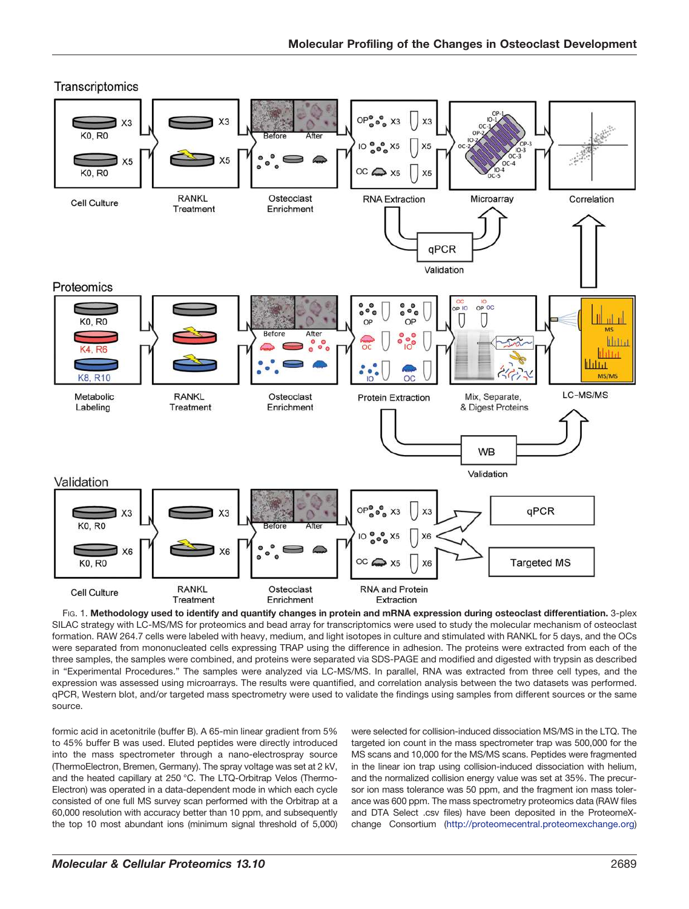

Transcriptomics

FIG. 1. **Methodology used to identify and quantify changes in protein and mRNA expression during osteoclast differentiation.** 3-plex SILAC strategy with LC-MS/MS for proteomics and bead array for transcriptomics were used to study the molecular mechanism of osteoclast formation. RAW 264.7 cells were labeled with heavy, medium, and light isotopes in culture and stimulated with RANKL for 5 days, and the OCs were separated from mononucleated cells expressing TRAP using the difference in adhesion. The proteins were extracted from each of the three samples, the samples were combined, and proteins were separated via SDS-PAGE and modified and digested with trypsin as described in "Experimental Procedures." The samples were analyzed via LC-MS/MS. In parallel, RNA was extracted from three cell types, and the expression was assessed using microarrays. The results were quantified, and correlation analysis between the two datasets was performed. qPCR, Western blot, and/or targeted mass spectrometry were used to validate the findings using samples from different sources or the same source.

formic acid in acetonitrile (buffer B). A 65-min linear gradient from 5% to 45% buffer B was used. Eluted peptides were directly introduced into the mass spectrometer through a nano-electrospray source (ThermoElectron, Bremen, Germany). The spray voltage was set at 2 kV, and the heated capillary at 250 °C. The LTQ-Orbitrap Velos (Thermo-Electron) was operated in a data-dependent mode in which each cycle consisted of one full MS survey scan performed with the Orbitrap at a 60,000 resolution with accuracy better than 10 ppm, and subsequently the top 10 most abundant ions (minimum signal threshold of 5,000)

were selected for collision-induced dissociation MS/MS in the LTQ. The targeted ion count in the mass spectrometer trap was 500,000 for the MS scans and 10,000 for the MS/MS scans. Peptides were fragmented in the linear ion trap using collision-induced dissociation with helium, and the normalized collision energy value was set at 35%. The precursor ion mass tolerance was 50 ppm, and the fragment ion mass tolerance was 600 ppm. The mass spectrometry proteomics data (RAW files and DTA Select .csv files) have been deposited in the ProteomeXchange Consortium (http://proteomecentral.proteomexchange.org)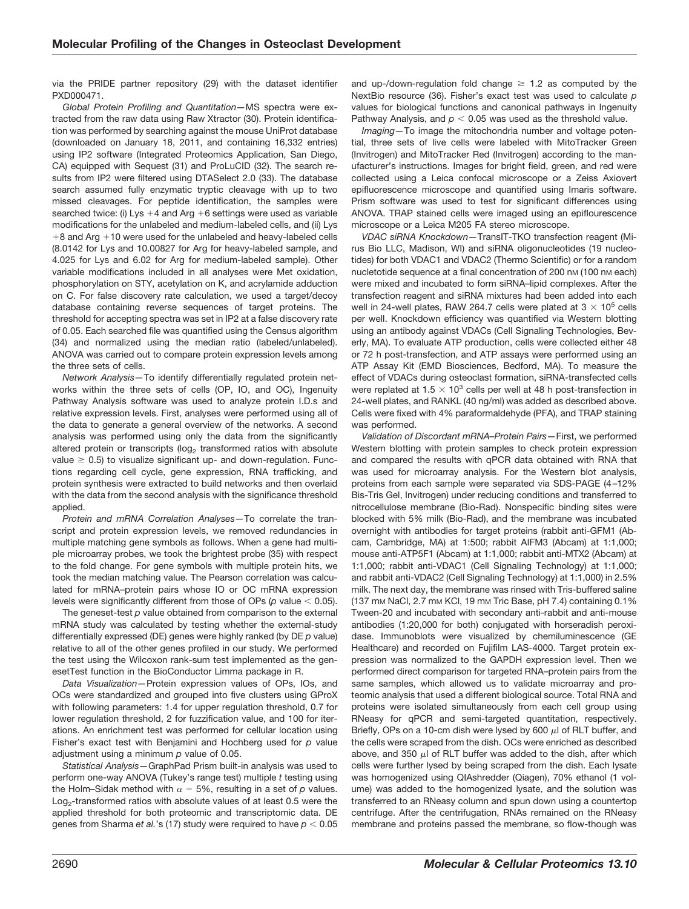via the PRIDE partner repository (29) with the dataset identifier PXD000471.

*Global Protein Profiling and Quantitation—*MS spectra were extracted from the raw data using Raw Xtractor (30). Protein identification was performed by searching against the mouse UniProt database (downloaded on January 18, 2011, and containing 16,332 entries) using IP2 software (Integrated Proteomics Application, San Diego, CA) equipped with Sequest (31) and ProLuCID (32). The search results from IP2 were filtered using DTASelect 2.0 (33). The database search assumed fully enzymatic tryptic cleavage with up to two missed cleavages. For peptide identification, the samples were searched twice: (i) Lys +4 and Arg +6 settings were used as variable modifications for the unlabeled and medium-labeled cells, and (ii) Lys +8 and Arg +10 were used for the unlabeled and heavy-labeled cells (8.0142 for Lys and 10.00827 for Arg for heavy-labeled sample, and 4.025 for Lys and 6.02 for Arg for medium-labeled sample). Other variable modifications included in all analyses were Met oxidation, phosphorylation on STY, acetylation on K, and acrylamide adduction on C. For false discovery rate calculation, we used a target/decoy database containing reverse sequences of target proteins. The threshold for accepting spectra was set in IP2 at a false discovery rate of 0.05. Each searched file was quantified using the Census algorithm (34) and normalized using the median ratio (labeled/unlabeled). ANOVA was carried out to compare protein expression levels among the three sets of cells.

*Network Analysis—*To identify differentially regulated protein networks within the three sets of cells (OP, IO, and OC), Ingenuity Pathway Analysis software was used to analyze protein I.D.s and relative expression levels. First, analyses were performed using all of the data to generate a general overview of the networks. A second analysis was performed using only the data from the significantly altered protein or transcripts (log<sub>2</sub> transformed ratios with absolute value  $\geq$  0.5) to visualize significant up- and down-regulation. Functions regarding cell cycle, gene expression, RNA trafficking, and protein synthesis were extracted to build networks and then overlaid with the data from the second analysis with the significance threshold applied.

*Protein and mRNA Correlation Analyses—*To correlate the transcript and protein expression levels, we removed redundancies in multiple matching gene symbols as follows. When a gene had multiple microarray probes, we took the brightest probe (35) with respect to the fold change. For gene symbols with multiple protein hits, we took the median matching value. The Pearson correlation was calculated for mRNA–protein pairs whose IO or OC mRNA expression levels were significantly different from those of OPs ( $p$  value  $<$  0.05).

The geneset-test *p* value obtained from comparison to the external mRNA study was calculated by testing whether the external-study differentially expressed (DE) genes were highly ranked (by DE *p* value) relative to all of the other genes profiled in our study. We performed the test using the Wilcoxon rank-sum test implemented as the genesetTest function in the BioConductor Limma package in R.

*Data Visualization—*Protein expression values of OPs, IOs, and OCs were standardized and grouped into five clusters using GProX with following parameters: 1.4 for upper regulation threshold, 0.7 for lower regulation threshold, 2 for fuzzification value, and 100 for iterations. An enrichment test was performed for cellular location using Fisher's exact test with Benjamini and Hochberg used for *p* value adjustment using a minimum *p* value of 0.05.

*Statistical Analysis—*GraphPad Prism built-in analysis was used to perform one-way ANOVA (Tukey's range test) multiple *t* testing using the Holm–Sidak method with  $\alpha = 5\%$ , resulting in a set of  $p$  values.  $\mathsf{Log}_2$ -transformed ratios with absolute values of at least 0.5 were the applied threshold for both proteomic and transcriptomic data. DE genes from Sharma *et al.*'s (17) study were required to have  $p < 0.05$  and up-/down-regulation fold change  $\geq$  1.2 as computed by the NextBio resource (36). Fisher's exact test was used to calculate *p* values for biological functions and canonical pathways in Ingenuity Pathway Analysis, and  $p < 0.05$  was used as the threshold value.

*Imaging—*To image the mitochondria number and voltage potential, three sets of live cells were labeled with MitoTracker Green (Invitrogen) and MitoTracker Red (Invitrogen) according to the manufacturer's instructions. Images for bright field, green, and red were collected using a Leica confocal microscope or a Zeiss Axiovert epifluorescence microscope and quantified using Imaris software. Prism software was used to test for significant differences using ANOVA. TRAP stained cells were imaged using an epiflourescence microscope or a Leica M205 FA stereo microscope.

*VDAC siRNA Knockdown—*TransIT-TKO transfection reagent (Mirus Bio LLC, Madison, WI) and siRNA oligonucleotides (19 nucleotides) for both VDAC1 and VDAC2 (Thermo Scientific) or for a random nucletotide sequence at a final concentration of 200 nm (100 nm each) were mixed and incubated to form siRNA–lipid complexes. After the transfection reagent and siRNA mixtures had been added into each well in 24-well plates, RAW 264.7 cells were plated at  $3 \times 10^5$  cells per well. Knockdown efficiency was quantified via Western blotting using an antibody against VDACs (Cell Signaling Technologies, Beverly, MA). To evaluate ATP production, cells were collected either 48 or 72 h post-transfection, and ATP assays were performed using an ATP Assay Kit (EMD Biosciences, Bedford, MA). To measure the effect of VDACs during osteoclast formation, siRNA-transfected cells were replated at 1.5  $\times$  10<sup>3</sup> cells per well at 48 h post-transfection in 24-well plates, and RANKL (40 ng/ml) was added as described above. Cells were fixed with 4% paraformaldehyde (PFA), and TRAP staining was performed.

*Validation of Discordant mRNA–Protein Pairs—*First, we performed Western blotting with protein samples to check protein expression and compared the results with qPCR data obtained with RNA that was used for microarray analysis. For the Western blot analysis, proteins from each sample were separated via SDS-PAGE (4–12% Bis-Tris Gel, Invitrogen) under reducing conditions and transferred to nitrocellulose membrane (Bio-Rad). Nonspecific binding sites were blocked with 5% milk (Bio-Rad), and the membrane was incubated overnight with antibodies for target proteins (rabbit anti-GFM1 (Abcam, Cambridge, MA) at 1:500; rabbit AIFM3 (Abcam) at 1:1,000; mouse anti-ATP5F1 (Abcam) at 1:1,000; rabbit anti-MTX2 (Abcam) at 1:1,000; rabbit anti-VDAC1 (Cell Signaling Technology) at 1:1,000; and rabbit anti-VDAC2 (Cell Signaling Technology) at 1:1,000) in 2.5% milk. The next day, the membrane was rinsed with Tris-buffered saline (137 mM NaCl, 2.7 mM KCl, 19 mM Tric Base, pH 7.4) containing 0.1% Tween-20 and incubated with secondary anti-rabbit and anti-mouse antibodies (1:20,000 for both) conjugated with horseradish peroxidase. Immunoblots were visualized by chemiluminescence (GE Healthcare) and recorded on Fujifilm LAS-4000. Target protein expression was normalized to the GAPDH expression level. Then we performed direct comparison for targeted RNA–protein pairs from the same samples, which allowed us to validate microarray and proteomic analysis that used a different biological source. Total RNA and proteins were isolated simultaneously from each cell group using RNeasy for qPCR and semi-targeted quantitation, respectively. Briefly, OPs on a 10-cm dish were lysed by 600  $\mu$  of RLT buffer, and the cells were scraped from the dish. OCs were enriched as described above, and 350  $\mu$  of RLT buffer was added to the dish, after which cells were further lysed by being scraped from the dish. Each lysate was homogenized using QIAshredder (Qiagen), 70% ethanol (1 volume) was added to the homogenized lysate, and the solution was transferred to an RNeasy column and spun down using a countertop centrifuge. After the centrifugation, RNAs remained on the RNeasy membrane and proteins passed the membrane, so flow-though was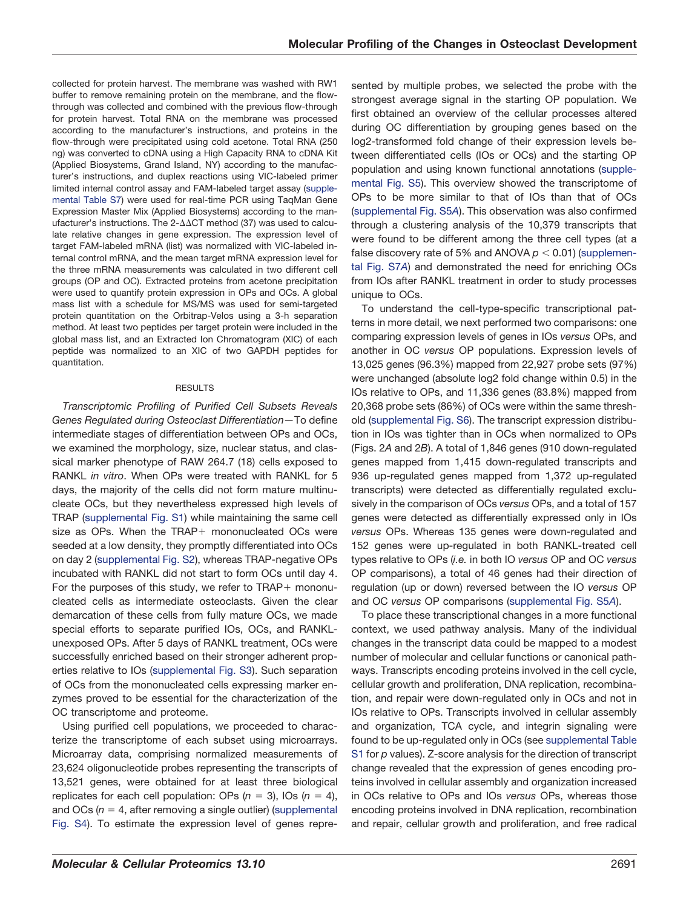collected for protein harvest. The membrane was washed with RW1 buffer to remove remaining protein on the membrane, and the flowthrough was collected and combined with the previous flow-through for protein harvest. Total RNA on the membrane was processed according to the manufacturer's instructions, and proteins in the flow-through were precipitated using cold acetone. Total RNA (250 ng) was converted to cDNA using a High Capacity RNA to cDNA Kit (Applied Biosystems, Grand Island, NY) according to the manufacturer's instructions, and duplex reactions using VIC-labeled primer limited internal control assay and FAM-labeled target assay (supplemental Table S7) were used for real-time PCR using TaqMan Gene Expression Master Mix (Applied Biosystems) according to the manufacturer's instructions. The 2- $\Delta\Delta CT$  method (37) was used to calculate relative changes in gene expression. The expression level of target FAM-labeled mRNA (list) was normalized with VIC-labeled internal control mRNA, and the mean target mRNA expression level for the three mRNA measurements was calculated in two different cell groups (OP and OC). Extracted proteins from acetone precipitation were used to quantify protein expression in OPs and OCs. A global mass list with a schedule for MS/MS was used for semi-targeted protein quantitation on the Orbitrap-Velos using a 3-h separation method. At least two peptides per target protein were included in the global mass list, and an Extracted Ion Chromatogram (XIC) of each peptide was normalized to an XIC of two GAPDH peptides for quantitation.

#### RESULTS

*Transcriptomic Profiling of Purified Cell Subsets Reveals Genes Regulated during Osteoclast Differentiation—*To define intermediate stages of differentiation between OPs and OCs, we examined the morphology, size, nuclear status, and classical marker phenotype of RAW 264.7 (18) cells exposed to RANKL *in vitro*. When OPs were treated with RANKL for 5 days, the majority of the cells did not form mature multinucleate OCs, but they nevertheless expressed high levels of TRAP (supplemental Fig. S1) while maintaining the same cell size as OPs. When the TRAP+ mononucleated OCs were seeded at a low density, they promptly differentiated into OCs on day 2 (supplemental Fig. S2), whereas TRAP-negative OPs incubated with RANKL did not start to form OCs until day 4. For the purposes of this study, we refer to TRAP+ mononucleated cells as intermediate osteoclasts. Given the clear demarcation of these cells from fully mature OCs, we made special efforts to separate purified IOs, OCs, and RANKLunexposed OPs. After 5 days of RANKL treatment, OCs were successfully enriched based on their stronger adherent properties relative to IOs (supplemental Fig. S3). Such separation of OCs from the mononucleated cells expressing marker enzymes proved to be essential for the characterization of the OC transcriptome and proteome.

Using purified cell populations, we proceeded to characterize the transcriptome of each subset using microarrays. Microarray data, comprising normalized measurements of 23,624 oligonucleotide probes representing the transcripts of 13,521 genes, were obtained for at least three biological replicates for each cell population: OPs  $(n = 3)$ , IOs  $(n = 4)$ , and OCs  $(n = 4$ , after removing a single outlier) (supplemental Fig. S4). To estimate the expression level of genes represented by multiple probes, we selected the probe with the strongest average signal in the starting OP population. We first obtained an overview of the cellular processes altered during OC differentiation by grouping genes based on the log2-transformed fold change of their expression levels between differentiated cells (IOs or OCs) and the starting OP population and using known functional annotations (supplemental Fig. S5). This overview showed the transcriptome of OPs to be more similar to that of IOs than that of OCs (supplemental Fig. S5*A*). This observation was also confirmed through a clustering analysis of the 10,379 transcripts that were found to be different among the three cell types (at a false discovery rate of 5% and ANOVA  $p < 0.01$ ) (supplemental Fig. S7*A*) and demonstrated the need for enriching OCs from IOs after RANKL treatment in order to study processes unique to OCs.

To understand the cell-type-specific transcriptional patterns in more detail, we next performed two comparisons: one comparing expression levels of genes in IOs *versus* OPs, and another in OC *versus* OP populations. Expression levels of 13,025 genes (96.3%) mapped from 22,927 probe sets (97%) were unchanged (absolute log2 fold change within 0.5) in the IOs relative to OPs, and 11,336 genes (83.8%) mapped from 20,368 probe sets (86%) of OCs were within the same threshold (supplemental Fig. S6). The transcript expression distribution in IOs was tighter than in OCs when normalized to OPs (Figs. 2*A* and 2*B*). A total of 1,846 genes (910 down-regulated genes mapped from 1,415 down-regulated transcripts and 936 up-regulated genes mapped from 1,372 up-regulated transcripts) were detected as differentially regulated exclusively in the comparison of OCs *versus* OPs, and a total of 157 genes were detected as differentially expressed only in IOs *versus* OPs. Whereas 135 genes were down-regulated and 152 genes were up-regulated in both RANKL-treated cell types relative to OPs (*i.e.* in both IO *versus* OP and OC *versus* OP comparisons), a total of 46 genes had their direction of regulation (up or down) reversed between the IO *versus* OP and OC *versus* OP comparisons (supplemental Fig. S5*A*).

To place these transcriptional changes in a more functional context, we used pathway analysis. Many of the individual changes in the transcript data could be mapped to a modest number of molecular and cellular functions or canonical pathways. Transcripts encoding proteins involved in the cell cycle, cellular growth and proliferation, DNA replication, recombination, and repair were down-regulated only in OCs and not in IOs relative to OPs. Transcripts involved in cellular assembly and organization, TCA cycle, and integrin signaling were found to be up-regulated only in OCs (see supplemental Table S1 for *p* values). Z-score analysis for the direction of transcript change revealed that the expression of genes encoding proteins involved in cellular assembly and organization increased in OCs relative to OPs and IOs *versus* OPs, whereas those encoding proteins involved in DNA replication, recombination and repair, cellular growth and proliferation, and free radical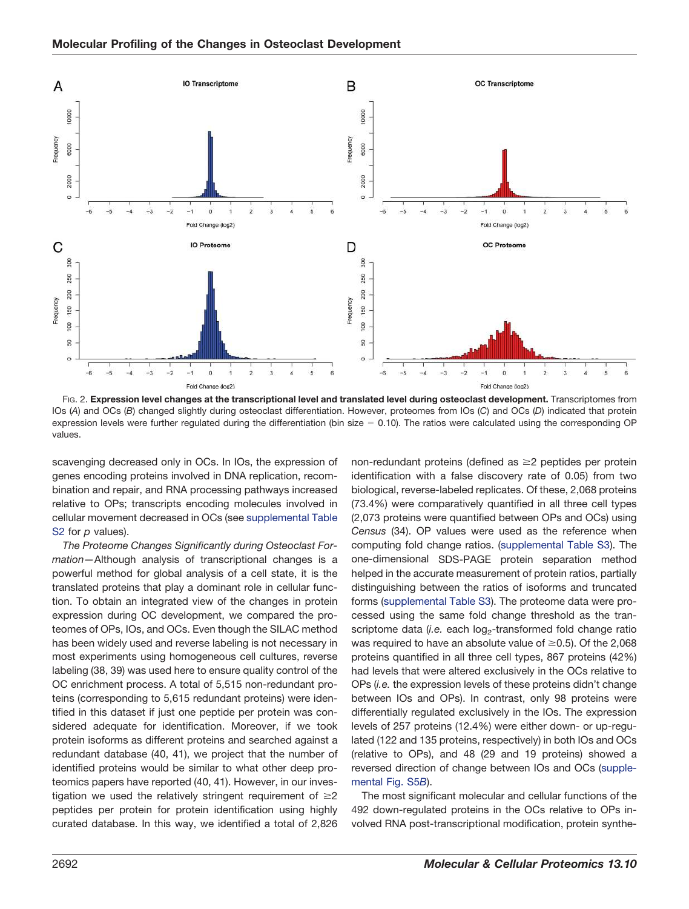

FIG. 2. **Expression level changes at the transcriptional level and translated level during osteoclast development.** Transcriptomes from IOs (*A*) and OCs (*B*) changed slightly during osteoclast differentiation. However, proteomes from IOs (*C*) and OCs (*D*) indicated that protein expression levels were further regulated during the differentiation (bin size  $= 0.10$ ). The ratios were calculated using the corresponding OP values.

scavenging decreased only in OCs. In IOs, the expression of genes encoding proteins involved in DNA replication, recombination and repair, and RNA processing pathways increased relative to OPs; transcripts encoding molecules involved in cellular movement decreased in OCs (see supplemental Table S2 for *p* values).

*The Proteome Changes Significantly during Osteoclast Formation—*Although analysis of transcriptional changes is a powerful method for global analysis of a cell state, it is the translated proteins that play a dominant role in cellular function. To obtain an integrated view of the changes in protein expression during OC development, we compared the proteomes of OPs, IOs, and OCs. Even though the SILAC method has been widely used and reverse labeling is not necessary in most experiments using homogeneous cell cultures, reverse labeling (38, 39) was used here to ensure quality control of the OC enrichment process. A total of 5,515 non-redundant proteins (corresponding to 5,615 redundant proteins) were identified in this dataset if just one peptide per protein was considered adequate for identification. Moreover, if we took protein isoforms as different proteins and searched against a redundant database (40, 41), we project that the number of identified proteins would be similar to what other deep proteomics papers have reported (40, 41). However, in our investigation we used the relatively stringent requirement of  $\geq 2$ peptides per protein for protein identification using highly curated database. In this way, we identified a total of 2,826

non-redundant proteins (defined as  $\geq 2$  peptides per protein identification with a false discovery rate of 0.05) from two biological, reverse-labeled replicates. Of these, 2,068 proteins (73.4%) were comparatively quantified in all three cell types (2,073 proteins were quantified between OPs and OCs) using *Census* (34). OP values were used as the reference when computing fold change ratios. (supplemental Table S3). The one-dimensional SDS-PAGE protein separation method helped in the accurate measurement of protein ratios, partially distinguishing between the ratios of isoforms and truncated forms (supplemental Table S3). The proteome data were processed using the same fold change threshold as the transcriptome data (i.e. each log<sub>2</sub>-transformed fold change ratio was required to have an absolute value of  $\geq$ 0.5). Of the 2,068 proteins quantified in all three cell types, 867 proteins (42%) had levels that were altered exclusively in the OCs relative to OPs (*i.e.* the expression levels of these proteins didn't change between IOs and OPs). In contrast, only 98 proteins were differentially regulated exclusively in the IOs. The expression levels of 257 proteins (12.4%) were either down- or up-regulated (122 and 135 proteins, respectively) in both IOs and OCs (relative to OPs), and 48 (29 and 19 proteins) showed a reversed direction of change between IOs and OCs (supplemental Fig. S5*B*).

The most significant molecular and cellular functions of the 492 down-regulated proteins in the OCs relative to OPs involved RNA post-transcriptional modification, protein synthe-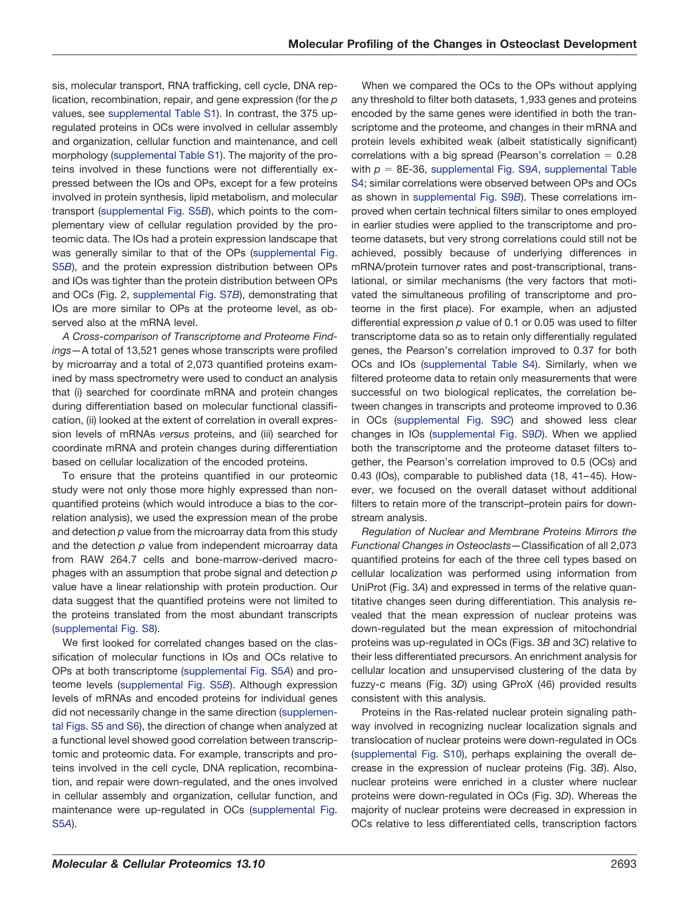sis, molecular transport, RNA trafficking, cell cycle, DNA replication, recombination, repair, and gene expression (for the *p* values, see supplemental Table S1). In contrast, the 375 upregulated proteins in OCs were involved in cellular assembly and organization, cellular function and maintenance, and cell morphology (supplemental Table S1). The majority of the proteins involved in these functions were not differentially expressed between the IOs and OPs, except for a few proteins involved in protein synthesis, lipid metabolism, and molecular transport (supplemental Fig. S5*B*), which points to the complementary view of cellular regulation provided by the proteomic data. The IOs had a protein expression landscape that was generally similar to that of the OPs (supplemental Fig. S5*B*), and the protein expression distribution between OPs and IOs was tighter than the protein distribution between OPs and OCs (Fig. 2, supplemental Fig. S7*B*), demonstrating that IOs are more similar to OPs at the proteome level, as observed also at the mRNA level.

*A Cross-comparison of Transcriptome and Proteome Findings—*A total of 13,521 genes whose transcripts were profiled by microarray and a total of 2,073 quantified proteins examined by mass spectrometry were used to conduct an analysis that (i) searched for coordinate mRNA and protein changes during differentiation based on molecular functional classification, (ii) looked at the extent of correlation in overall expression levels of mRNAs *versus* proteins, and (iii) searched for coordinate mRNA and protein changes during differentiation based on cellular localization of the encoded proteins.

To ensure that the proteins quantified in our proteomic study were not only those more highly expressed than nonquantified proteins (which would introduce a bias to the correlation analysis), we used the expression mean of the probe and detection *p* value from the microarray data from this study and the detection *p* value from independent microarray data from RAW 264.7 cells and bone-marrow-derived macrophages with an assumption that probe signal and detection *p* value have a linear relationship with protein production. Our data suggest that the quantified proteins were not limited to the proteins translated from the most abundant transcripts (supplemental Fig. S8).

We first looked for correlated changes based on the classification of molecular functions in IOs and OCs relative to OPs at both transcriptome (supplemental Fig. S5*A*) and proteome levels (supplemental Fig. S5*B*). Although expression levels of mRNAs and encoded proteins for individual genes did not necessarily change in the same direction (supplemental Figs. S5 and S6), the direction of change when analyzed at a functional level showed good correlation between transcriptomic and proteomic data. For example, transcripts and proteins involved in the cell cycle, DNA replication, recombination, and repair were down-regulated, and the ones involved in cellular assembly and organization, cellular function, and maintenance were up-regulated in OCs (supplemental Fig. S5*A*).

When we compared the OCs to the OPs without applying any threshold to filter both datasets, 1,933 genes and proteins encoded by the same genes were identified in both the transcriptome and the proteome, and changes in their mRNA and protein levels exhibited weak (albeit statistically significant) correlations with a big spread (Pearson's correlation  $= 0.28$ with  $p = 8E-36$ , supplemental Fig. S9A, supplemental Table S4; similar correlations were observed between OPs and OCs as shown in supplemental Fig. S9*B*). These correlations improved when certain technical filters similar to ones employed in earlier studies were applied to the transcriptome and proteome datasets, but very strong correlations could still not be achieved, possibly because of underlying differences in mRNA/protein turnover rates and post-transcriptional, translational, or similar mechanisms (the very factors that motivated the simultaneous profiling of transcriptome and proteome in the first place). For example, when an adjusted differential expression *p* value of 0.1 or 0.05 was used to filter transcriptome data so as to retain only differentially regulated genes, the Pearson's correlation improved to 0.37 for both OCs and IOs (supplemental Table S4). Similarly, when we filtered proteome data to retain only measurements that were successful on two biological replicates, the correlation between changes in transcripts and proteome improved to 0.36 in OCs (supplemental Fig. S9*C*) and showed less clear changes in IOs (supplemental Fig. S9*D*). When we applied both the transcriptome and the proteome dataset filters together, the Pearson's correlation improved to 0.5 (OCs) and 0.43 (IOs), comparable to published data (18, 41–45). However, we focused on the overall dataset without additional filters to retain more of the transcript–protein pairs for downstream analysis.

*Regulation of Nuclear and Membrane Proteins Mirrors the Functional Changes in Osteoclasts—*Classification of all 2,073 quantified proteins for each of the three cell types based on cellular localization was performed using information from UniProt (Fig. 3*A*) and expressed in terms of the relative quantitative changes seen during differentiation. This analysis revealed that the mean expression of nuclear proteins was down-regulated but the mean expression of mitochondrial proteins was up-regulated in OCs (Figs. 3*B* and 3*C*) relative to their less differentiated precursors. An enrichment analysis for cellular location and unsupervised clustering of the data by fuzzy-c means (Fig. 3*D*) using GProX (46) provided results consistent with this analysis.

Proteins in the Ras-related nuclear protein signaling pathway involved in recognizing nuclear localization signals and translocation of nuclear proteins were down-regulated in OCs (supplemental Fig. S10), perhaps explaining the overall decrease in the expression of nuclear proteins (Fig. 3*B*). Also, nuclear proteins were enriched in a cluster where nuclear proteins were down-regulated in OCs (Fig. 3*D*). Whereas the majority of nuclear proteins were decreased in expression in OCs relative to less differentiated cells, transcription factors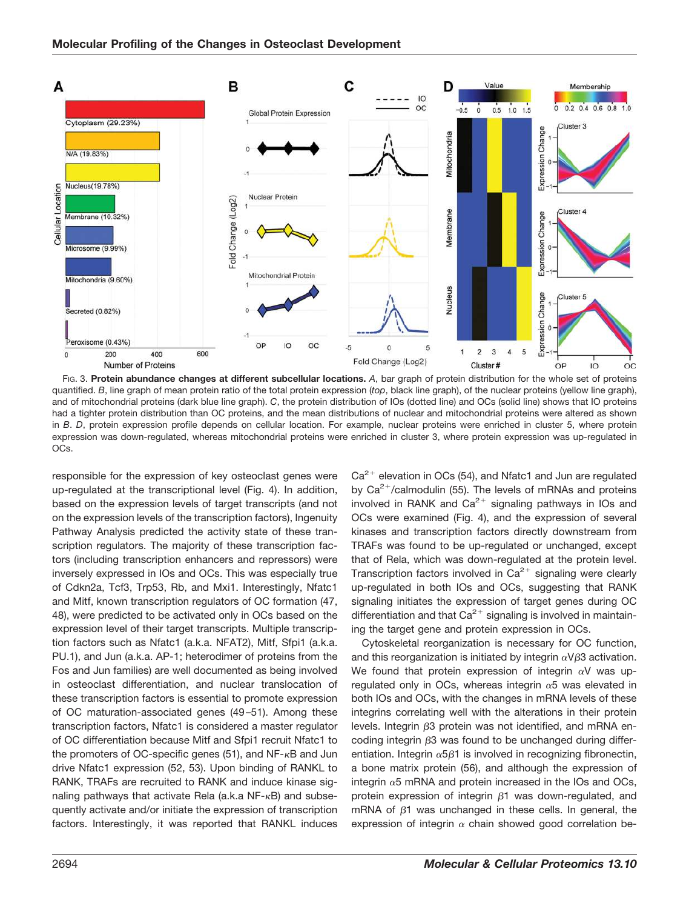

FIG. 3. **Protein abundance changes at different subcellular locations.** *A*, bar graph of protein distribution for the whole set of proteins quantified. *B*, line graph of mean protein ratio of the total protein expression (*top*, black line graph), of the nuclear proteins (yellow line graph), and of mitochondrial proteins (dark blue line graph). *C*, the protein distribution of IOs (dotted line) and OCs (solid line) shows that IO proteins had a tighter protein distribution than OC proteins, and the mean distributions of nuclear and mitochondrial proteins were altered as shown in *B*. *D*, protein expression profile depends on cellular location. For example, nuclear proteins were enriched in cluster 5, where protein expression was down-regulated, whereas mitochondrial proteins were enriched in cluster 3, where protein expression was up-regulated in OCs.

responsible for the expression of key osteoclast genes were up-regulated at the transcriptional level (Fig. 4). In addition, based on the expression levels of target transcripts (and not on the expression levels of the transcription factors), Ingenuity Pathway Analysis predicted the activity state of these transcription regulators. The majority of these transcription factors (including transcription enhancers and repressors) were inversely expressed in IOs and OCs. This was especially true of Cdkn2a, Tcf3, Trp53, Rb, and Mxi1. Interestingly, Nfatc1 and Mitf, known transcription regulators of OC formation (47, 48), were predicted to be activated only in OCs based on the expression level of their target transcripts. Multiple transcription factors such as Nfatc1 (a.k.a. NFAT2), Mitf, Sfpi1 (a.k.a. PU.1), and Jun (a.k.a. AP-1; heterodimer of proteins from the Fos and Jun families) are well documented as being involved in osteoclast differentiation, and nuclear translocation of these transcription factors is essential to promote expression of OC maturation-associated genes (49–51). Among these transcription factors, Nfatc1 is considered a master regulator of OC differentiation because Mitf and Sfpi1 recruit Nfatc1 to the promoters of OC-specific genes (51), and NF-<sub>K</sub>B and Jun drive Nfatc1 expression (52, 53). Upon binding of RANKL to RANK, TRAFs are recruited to RANK and induce kinase signaling pathways that activate Rela (a.k.a NF-<sub>K</sub>B) and subsequently activate and/or initiate the expression of transcription factors. Interestingly, it was reported that RANKL induces

 $Ca<sup>2+</sup>$  elevation in OCs (54), and Nfatc1 and Jun are regulated by Ca<sup>2+</sup>/calmodulin (55). The levels of mRNAs and proteins involved in RANK and  $Ca^{2+}$  signaling pathways in IOs and OCs were examined (Fig. 4), and the expression of several kinases and transcription factors directly downstream from TRAFs was found to be up-regulated or unchanged, except that of Rela, which was down-regulated at the protein level. Transcription factors involved in  $Ca^{2+}$  signaling were clearly up-regulated in both IOs and OCs, suggesting that RANK signaling initiates the expression of target genes during OC differentiation and that  $Ca^{2+}$  signaling is involved in maintaining the target gene and protein expression in OCs.

Cytoskeletal reorganization is necessary for OC function, and this reorganization is initiated by integrin  $\alpha$ V $\beta$ 3 activation. We found that protein expression of integrin  $\alpha V$  was upregulated only in OCs, whereas integrin  $\alpha$ 5 was elevated in both IOs and OCs, with the changes in mRNA levels of these integrins correlating well with the alterations in their protein levels. Integrin  $\beta$ 3 protein was not identified, and mRNA encoding integrin  $\beta$ 3 was found to be unchanged during differentiation. Integrin  $\alpha$ 5 $\beta$ 1 is involved in recognizing fibronectin, a bone matrix protein (56), and although the expression of integrin  $\alpha$ 5 mRNA and protein increased in the IOs and OCs, protein expression of integrin  $\beta$ 1 was down-regulated, and mRNA of  $\beta$ 1 was unchanged in these cells. In general, the expression of integrin  $\alpha$  chain showed good correlation be-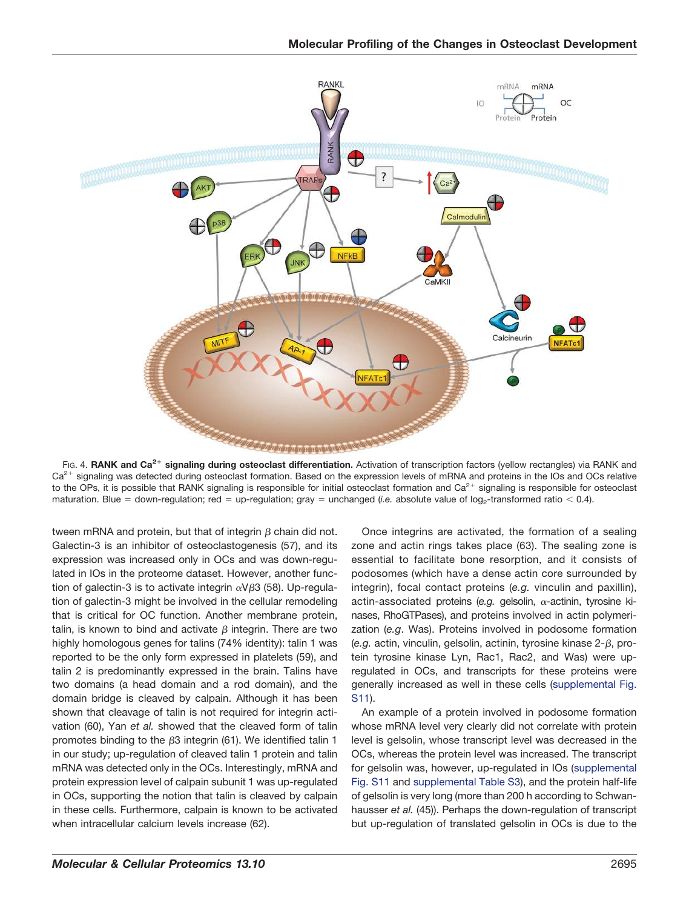

Fig. 4. **RANK and Ca<sup>2+</sup> signaling during osteoclast differentiation. Activation of transcription factors (yellow rectangles) via RANK and** Ca<sup>2+</sup> signaling was detected during osteoclast formation. Based on the expression levels of mRNA and proteins in the IOs and OCs relative to the OPs, it is possible that RANK signaling is responsible for initial osteoclast formation and Ca<sup>2+</sup> signaling is responsible for osteoclast maturation. Blue = down-regulation; red = up-regulation; gray = unchanged (*i.e.* absolute value of log<sub>2</sub>-transformed ratio < 0.4).

tween mRNA and protein, but that of integrin  $\beta$  chain did not. Galectin-3 is an inhibitor of osteoclastogenesis (57), and its expression was increased only in OCs and was down-regulated in IOs in the proteome dataset. However, another function of galectin-3 is to activate integrin  $\alpha$ V $\beta$ 3 (58). Up-regulation of galectin-3 might be involved in the cellular remodeling that is critical for OC function. Another membrane protein, talin, is known to bind and activate  $\beta$  integrin. There are two highly homologous genes for talins (74% identity): talin 1 was reported to be the only form expressed in platelets (59), and talin 2 is predominantly expressed in the brain. Talins have two domains (a head domain and a rod domain), and the domain bridge is cleaved by calpain. Although it has been shown that cleavage of talin is not required for integrin activation (60), Yan *et al.* showed that the cleaved form of talin promotes binding to the  $\beta$ 3 integrin (61). We identified talin 1 in our study; up-regulation of cleaved talin 1 protein and talin mRNA was detected only in the OCs. Interestingly, mRNA and protein expression level of calpain subunit 1 was up-regulated in OCs, supporting the notion that talin is cleaved by calpain in these cells. Furthermore, calpain is known to be activated when intracellular calcium levels increase (62).

Once integrins are activated, the formation of a sealing zone and actin rings takes place (63). The sealing zone is essential to facilitate bone resorption, and it consists of podosomes (which have a dense actin core surrounded by integrin), focal contact proteins (*e.g.* vinculin and paxillin), actin-associated proteins (e.g. gelsolin,  $\alpha$ -actinin, tyrosine kinases, RhoGTPases), and proteins involved in actin polymerization (*e.g*. Was). Proteins involved in podosome formation (e.g. actin, vinculin, gelsolin, actinin, tyrosine kinase  $2-\beta$ , protein tyrosine kinase Lyn, Rac1, Rac2, and Was) were upregulated in OCs, and transcripts for these proteins were generally increased as well in these cells (supplemental Fig. S11).

An example of a protein involved in podosome formation whose mRNA level very clearly did not correlate with protein level is gelsolin, whose transcript level was decreased in the OCs, whereas the protein level was increased. The transcript for gelsolin was, however, up-regulated in IOs (supplemental Fig. S11 and supplemental Table S3), and the protein half-life of gelsolin is very long (more than 200 h according to Schwanhausser *et al.* (45)). Perhaps the down-regulation of transcript but up-regulation of translated gelsolin in OCs is due to the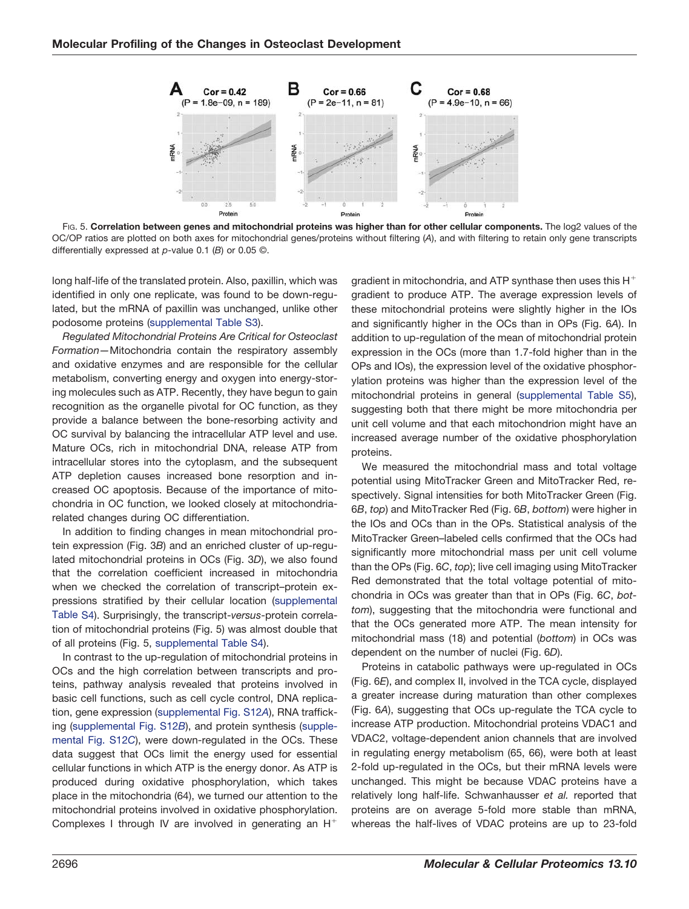

FIG. 5. **Correlation between genes and mitochondrial proteins was higher than for other cellular components.** The log2 values of the OC/OP ratios are plotted on both axes for mitochondrial genes/proteins without filtering (*A*), and with filtering to retain only gene transcripts differentially expressed at *p*-value 0.1 (*B*) or 0.05 ©.

long half-life of the translated protein. Also, paxillin, which was identified in only one replicate, was found to be down-regulated, but the mRNA of paxillin was unchanged, unlike other podosome proteins (supplemental Table S3).

*Regulated Mitochondrial Proteins Are Critical for Osteoclast Formation—*Mitochondria contain the respiratory assembly and oxidative enzymes and are responsible for the cellular metabolism, converting energy and oxygen into energy-storing molecules such as ATP. Recently, they have begun to gain recognition as the organelle pivotal for OC function, as they provide a balance between the bone-resorbing activity and OC survival by balancing the intracellular ATP level and use. Mature OCs, rich in mitochondrial DNA, release ATP from intracellular stores into the cytoplasm, and the subsequent ATP depletion causes increased bone resorption and increased OC apoptosis. Because of the importance of mitochondria in OC function, we looked closely at mitochondriarelated changes during OC differentiation.

In addition to finding changes in mean mitochondrial protein expression (Fig. 3*B*) and an enriched cluster of up-regulated mitochondrial proteins in OCs (Fig. 3*D*), we also found that the correlation coefficient increased in mitochondria when we checked the correlation of transcript–protein expressions stratified by their cellular location (supplemental Table S4). Surprisingly, the transcript-*versus*-protein correlation of mitochondrial proteins (Fig. 5) was almost double that of all proteins (Fig. 5, supplemental Table S4).

In contrast to the up-regulation of mitochondrial proteins in OCs and the high correlation between transcripts and proteins, pathway analysis revealed that proteins involved in basic cell functions, such as cell cycle control, DNA replication, gene expression (supplemental Fig. S12*A*), RNA trafficking (supplemental Fig. S12*B*), and protein synthesis (supplemental Fig. S12*C*), were down-regulated in the OCs. These data suggest that OCs limit the energy used for essential cellular functions in which ATP is the energy donor. As ATP is produced during oxidative phosphorylation, which takes place in the mitochondria (64), we turned our attention to the mitochondrial proteins involved in oxidative phosphorylation. Complexes I through IV are involved in generating an  $H^+$ 

gradient in mitochondria, and ATP synthase then uses this  $\mathsf{H}^+$ gradient to produce ATP. The average expression levels of these mitochondrial proteins were slightly higher in the IOs and significantly higher in the OCs than in OPs (Fig. 6*A*). In addition to up-regulation of the mean of mitochondrial protein expression in the OCs (more than 1.7-fold higher than in the OPs and IOs), the expression level of the oxidative phosphorylation proteins was higher than the expression level of the mitochondrial proteins in general (supplemental Table S5), suggesting both that there might be more mitochondria per unit cell volume and that each mitochondrion might have an increased average number of the oxidative phosphorylation proteins.

We measured the mitochondrial mass and total voltage potential using MitoTracker Green and MitoTracker Red, respectively. Signal intensities for both MitoTracker Green (Fig. 6*B*, *top*) and MitoTracker Red (Fig. 6*B*, *bottom*) were higher in the IOs and OCs than in the OPs. Statistical analysis of the MitoTracker Green–labeled cells confirmed that the OCs had significantly more mitochondrial mass per unit cell volume than the OPs (Fig. 6*C*, *top*); live cell imaging using MitoTracker Red demonstrated that the total voltage potential of mitochondria in OCs was greater than that in OPs (Fig. 6*C*, *bottom*), suggesting that the mitochondria were functional and that the OCs generated more ATP. The mean intensity for mitochondrial mass (18) and potential (*bottom*) in OCs was dependent on the number of nuclei (Fig. 6*D*).

Proteins in catabolic pathways were up-regulated in OCs (Fig. 6*E*), and complex II, involved in the TCA cycle, displayed a greater increase during maturation than other complexes (Fig. 6*A*), suggesting that OCs up-regulate the TCA cycle to increase ATP production. Mitochondrial proteins VDAC1 and VDAC2, voltage-dependent anion channels that are involved in regulating energy metabolism (65, 66), were both at least 2-fold up-regulated in the OCs, but their mRNA levels were unchanged. This might be because VDAC proteins have a relatively long half-life. Schwanhausser *et al.* reported that proteins are on average 5-fold more stable than mRNA, whereas the half-lives of VDAC proteins are up to 23-fold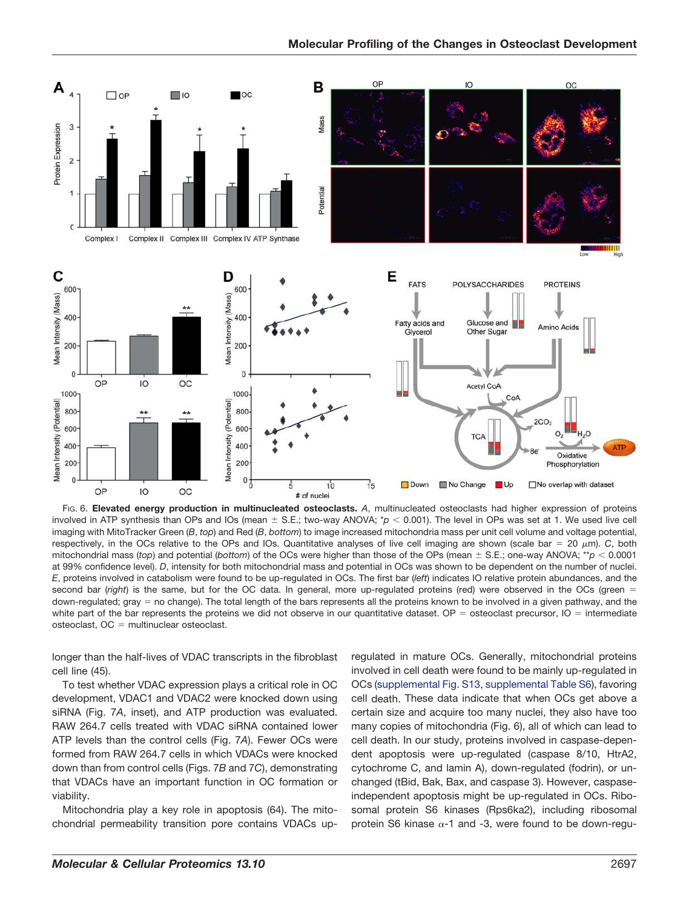

FIG. 6. **Elevated energy production in multinucleated osteoclasts.** *A*, multinucleated osteoclasts had higher expression of proteins involved in ATP synthesis than OPs and IOs (mean  $\pm$  S.E.; two-way ANOVA;  $p$   $<$  0.001). The level in OPs was set at 1. We used live cell imaging with MitoTracker Green (*B*, *top*) and Red (*B*, *bottom*) to image increased mitochondria mass per unit cell volume and voltage potential, respectively, in the OCs relative to the OPs and IOs. Quantitative analyses of live cell imaging are shown (scale bar = 20  $\mu$ m). *C*, both mitochondrial mass (*top*) and potential (*bottom*) of the OCs were higher than those of the OPs (mean  $\pm$  S.E.; one-way ANOVA; \*\**p* < 0.0001 at 99% confidence level). *D*, intensity for both mitochondrial mass and potential in OCs was shown to be dependent on the number of nuclei. *E*, proteins involved in catabolism were found to be up-regulated in OCs. The first bar (*left*) indicates IO relative protein abundances, and the second bar (*right*) is the same, but for the OC data. In general, more up-regulated proteins (red) were observed in the OCs (green = down-regulated; gray = no change). The total length of the bars represents all the proteins known to be involved in a given pathway, and the white part of the bar represents the proteins we did not observe in our quantitative dataset. OP = osteoclast precursor,  $IO =$  intermediate  $osteoclast$ ,  $OC = multinuclear osteoclast$ .

longer than the half-lives of VDAC transcripts in the fibroblast cell line (45).

To test whether VDAC expression plays a critical role in OC development, VDAC1 and VDAC2 were knocked down using siRNA (Fig. 7*A*, inset), and ATP production was evaluated. RAW 264.7 cells treated with VDAC siRNA contained lower ATP levels than the control cells (Fig. 7*A*). Fewer OCs were formed from RAW 264.7 cells in which VDACs were knocked down than from control cells (Figs. 7*B* and 7*C*), demonstrating that VDACs have an important function in OC formation or viability.

Mitochondria play a key role in apoptosis (64). The mitochondrial permeability transition pore contains VDACs upregulated in mature OCs. Generally, mitochondrial proteins involved in cell death were found to be mainly up-regulated in OCs (supplemental Fig. S13, supplemental Table S6), favoring cell death. These data indicate that when OCs get above a certain size and acquire too many nuclei, they also have too many copies of mitochondria (Fig. 6), all of which can lead to cell death. In our study, proteins involved in caspase-dependent apoptosis were up-regulated (caspase 8/10, HtrA2, cytochrome C, and lamin A), down-regulated (fodrin), or unchanged (tBid, Bak, Bax, and caspase 3). However, caspaseindependent apoptosis might be up-regulated in OCs. Ribosomal protein S6 kinases (Rps6ka2), including ribosomal protein S6 kinase  $\alpha$ -1 and -3, were found to be down-regu-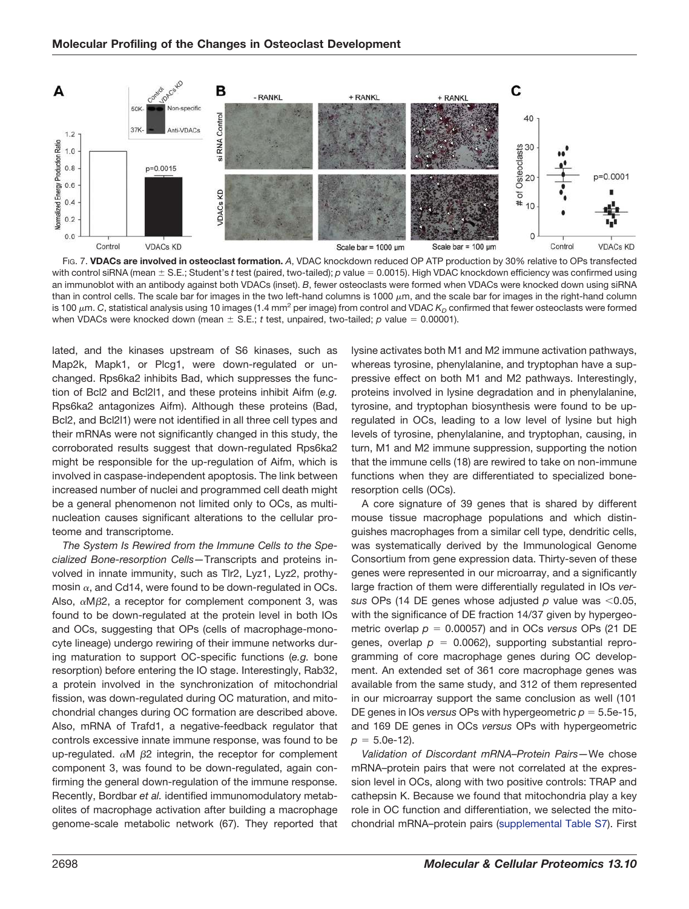

FIG. 7. **VDACs are involved in osteoclast formation.** *A*, VDAC knockdown reduced OP ATP production by 30% relative to OPs transfected with control siRNA (mean  $\pm$  S.E.; Student's *t* test (paired, two-tailed); *p* value = 0.0015). High VDAC knockdown efficiency was confirmed using an immunoblot with an antibody against both VDACs (inset). *B*, fewer osteoclasts were formed when VDACs were knocked down using siRNA than in control cells. The scale bar for images in the two left-hand columns is 1000  $\mu$ m, and the scale bar for images in the right-hand column is 100  $\mu$ m. *C*, statistical analysis using 10 images (1.4 mm<sup>2</sup> per image) from control and VDAC  $K_p$  confirmed that fewer osteoclasts were formed when VDACs were knocked down (mean  $\pm$  S.E.; *t* test, unpaired, two-tailed; *p* value = 0.00001).

lated, and the kinases upstream of S6 kinases, such as Map2k, Mapk1, or Plcg1, were down-regulated or unchanged. Rps6ka2 inhibits Bad, which suppresses the function of Bcl2 and Bcl2l1, and these proteins inhibit Aifm (*e.g.* Rps6ka2 antagonizes Aifm). Although these proteins (Bad, Bcl2, and Bcl2l1) were not identified in all three cell types and their mRNAs were not significantly changed in this study, the corroborated results suggest that down-regulated Rps6ka2 might be responsible for the up-regulation of Aifm, which is involved in caspase-independent apoptosis. The link between increased number of nuclei and programmed cell death might be a general phenomenon not limited only to OCs, as multinucleation causes significant alterations to the cellular proteome and transcriptome.

*The System Is Rewired from the Immune Cells to the Specialized Bone-resorption Cells—*Transcripts and proteins involved in innate immunity, such as Tlr2, Lyz1, Lyz2, prothymosin  $\alpha$ , and Cd14, were found to be down-regulated in OCs. Also,  $\alpha M\beta 2$ , a receptor for complement component 3, was found to be down-regulated at the protein level in both IOs and OCs, suggesting that OPs (cells of macrophage-monocyte lineage) undergo rewiring of their immune networks during maturation to support OC-specific functions (*e.g.* bone resorption) before entering the IO stage. Interestingly, Rab32, a protein involved in the synchronization of mitochondrial fission, was down-regulated during OC maturation, and mitochondrial changes during OC formation are described above. Also, mRNA of Trafd1, a negative-feedback regulator that controls excessive innate immune response, was found to be up-regulated.  $\alpha$ M  $\beta$ 2 integrin, the receptor for complement component 3, was found to be down-regulated, again confirming the general down-regulation of the immune response. Recently, Bordbar *et al.* identified immunomodulatory metabolites of macrophage activation after building a macrophage genome-scale metabolic network (67). They reported that

lysine activates both M1 and M2 immune activation pathways, whereas tyrosine, phenylalanine, and tryptophan have a suppressive effect on both M1 and M2 pathways. Interestingly, proteins involved in lysine degradation and in phenylalanine, tyrosine, and tryptophan biosynthesis were found to be upregulated in OCs, leading to a low level of lysine but high levels of tyrosine, phenylalanine, and tryptophan, causing, in turn, M1 and M2 immune suppression, supporting the notion that the immune cells (18) are rewired to take on non-immune functions when they are differentiated to specialized boneresorption cells (OCs).

A core signature of 39 genes that is shared by different mouse tissue macrophage populations and which distinguishes macrophages from a similar cell type, dendritic cells, was systematically derived by the Immunological Genome Consortium from gene expression data. Thirty-seven of these genes were represented in our microarray, and a significantly large fraction of them were differentially regulated in IOs *versus* OPs (14 DE genes whose adjusted  $p$  value was  $\leq 0.05$ , with the significance of DE fraction 14/37 given by hypergeometric overlap  $p = 0.00057$ ) and in OCs *versus* OPs (21 DE genes, overlap  $p = 0.0062$ , supporting substantial reprogramming of core macrophage genes during OC development. An extended set of 361 core macrophage genes was available from the same study, and 312 of them represented in our microarray support the same conclusion as well (101 DE genes in IOs *versus* OPs with hypergeometric  $p = 5.5e-15$ , and 169 DE genes in OCs *versus* OPs with hypergeometric  $p = 5.0e-12$ .

*Validation of Discordant mRNA–Protein Pairs—*We chose mRNA–protein pairs that were not correlated at the expression level in OCs, along with two positive controls: TRAP and cathepsin K. Because we found that mitochondria play a key role in OC function and differentiation, we selected the mitochondrial mRNA–protein pairs (supplemental Table S7). First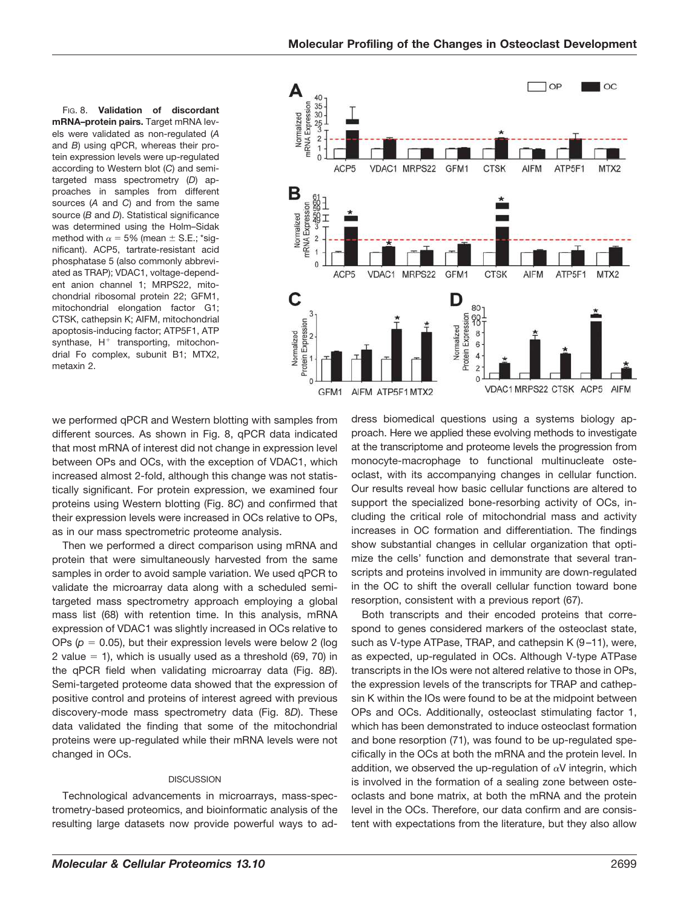FIG. 8. **Validation of discordant mRNA–protein pairs.** Target mRNA levels were validated as non-regulated (*A* and *B*) using qPCR, whereas their protein expression levels were up-regulated according to Western blot (*C*) and semitargeted mass spectrometry (*D*) approaches in samples from different sources (*A* and *C*) and from the same source (*B* and *D*). Statistical significance was determined using the Holm–Sidak method with  $\alpha = 5\%$  (mean  $\pm$  S.E.; \*significant). ACP5, tartrate-resistant acid phosphatase 5 (also commonly abbreviated as TRAP); VDAC1, voltage-dependent anion channel 1; MRPS22, mitochondrial ribosomal protein 22; GFM1, mitochondrial elongation factor G1; CTSK, cathepsin K; AIFM, mitochondrial apoptosis-inducing factor; ATP5F1, ATP  $\frac{1}{2}$  synthase, H<sup>+</sup> transporting, mitochondrial Fo complex, subunit B1; MTX2, metaxin 2.



we performed qPCR and Western blotting with samples from different sources. As shown in Fig. 8, qPCR data indicated that most mRNA of interest did not change in expression level between OPs and OCs, with the exception of VDAC1, which increased almost 2-fold, although this change was not statistically significant. For protein expression, we examined four proteins using Western blotting (Fig. 8*C*) and confirmed that their expression levels were increased in OCs relative to OPs, as in our mass spectrometric proteome analysis.

Then we performed a direct comparison using mRNA and protein that were simultaneously harvested from the same samples in order to avoid sample variation. We used qPCR to validate the microarray data along with a scheduled semitargeted mass spectrometry approach employing a global mass list (68) with retention time. In this analysis, mRNA expression of VDAC1 was slightly increased in OCs relative to OPs  $(p = 0.05)$ , but their expression levels were below 2 (log 2 value  $= 1$ ), which is usually used as a threshold (69, 70) in the qPCR field when validating microarray data (Fig. 8*B*). Semi-targeted proteome data showed that the expression of positive control and proteins of interest agreed with previous discovery-mode mass spectrometry data (Fig. 8*D*). These data validated the finding that some of the mitochondrial proteins were up-regulated while their mRNA levels were not changed in OCs.

## **DISCUSSION**

Technological advancements in microarrays, mass-spectrometry-based proteomics, and bioinformatic analysis of the resulting large datasets now provide powerful ways to ad-

dress biomedical questions using a systems biology approach. Here we applied these evolving methods to investigate at the transcriptome and proteome levels the progression from monocyte-macrophage to functional multinucleate osteoclast, with its accompanying changes in cellular function. Our results reveal how basic cellular functions are altered to support the specialized bone-resorbing activity of OCs, including the critical role of mitochondrial mass and activity increases in OC formation and differentiation. The findings show substantial changes in cellular organization that optimize the cells' function and demonstrate that several transcripts and proteins involved in immunity are down-regulated in the OC to shift the overall cellular function toward bone resorption, consistent with a previous report (67).

Both transcripts and their encoded proteins that correspond to genes considered markers of the osteoclast state, such as V-type ATPase, TRAP, and cathepsin K (9–11), were, as expected, up-regulated in OCs. Although V-type ATPase transcripts in the IOs were not altered relative to those in OPs, the expression levels of the transcripts for TRAP and cathepsin K within the IOs were found to be at the midpoint between OPs and OCs. Additionally, osteoclast stimulating factor 1, which has been demonstrated to induce osteoclast formation and bone resorption (71), was found to be up-regulated specifically in the OCs at both the mRNA and the protein level. In addition, we observed the up-regulation of  $\alpha V$  integrin, which is involved in the formation of a sealing zone between osteoclasts and bone matrix, at both the mRNA and the protein level in the OCs. Therefore, our data confirm and are consistent with expectations from the literature, but they also allow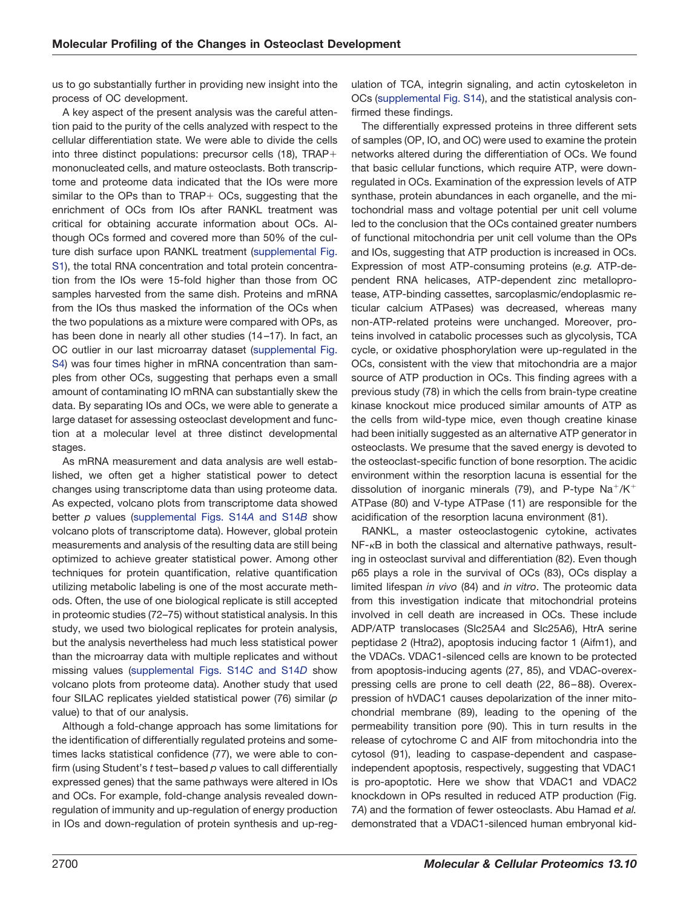us to go substantially further in providing new insight into the process of OC development.

A key aspect of the present analysis was the careful attention paid to the purity of the cells analyzed with respect to the cellular differentiation state. We were able to divide the cells into three distinct populations: precursor cells (18), TRAPmononucleated cells, and mature osteoclasts. Both transcriptome and proteome data indicated that the IOs were more similar to the OPs than to TRAP+ OCs, suggesting that the enrichment of OCs from IOs after RANKL treatment was critical for obtaining accurate information about OCs. Although OCs formed and covered more than 50% of the culture dish surface upon RANKL treatment (supplemental Fig. S1), the total RNA concentration and total protein concentration from the IOs were 15-fold higher than those from OC samples harvested from the same dish. Proteins and mRNA from the IOs thus masked the information of the OCs when the two populations as a mixture were compared with OPs, as has been done in nearly all other studies (14–17). In fact, an OC outlier in our last microarray dataset (supplemental Fig. S4) was four times higher in mRNA concentration than samples from other OCs, suggesting that perhaps even a small amount of contaminating IO mRNA can substantially skew the data. By separating IOs and OCs, we were able to generate a large dataset for assessing osteoclast development and function at a molecular level at three distinct developmental stages.

As mRNA measurement and data analysis are well established, we often get a higher statistical power to detect changes using transcriptome data than using proteome data. As expected, volcano plots from transcriptome data showed better *p* values (supplemental Figs. S14*A* and S14*B* show volcano plots of transcriptome data). However, global protein measurements and analysis of the resulting data are still being optimized to achieve greater statistical power. Among other techniques for protein quantification, relative quantification utilizing metabolic labeling is one of the most accurate methods. Often, the use of one biological replicate is still accepted in proteomic studies (72–75) without statistical analysis. In this study, we used two biological replicates for protein analysis, but the analysis nevertheless had much less statistical power than the microarray data with multiple replicates and without missing values (supplemental Figs. S14*C* and S14*D* show volcano plots from proteome data). Another study that used four SILAC replicates yielded statistical power (76) similar (*p* value) to that of our analysis.

Although a fold-change approach has some limitations for the identification of differentially regulated proteins and sometimes lacks statistical confidence (77), we were able to confirm (using Student's *t* test–based *p* values to call differentially expressed genes) that the same pathways were altered in IOs and OCs. For example, fold-change analysis revealed downregulation of immunity and up-regulation of energy production in IOs and down-regulation of protein synthesis and up-regulation of TCA, integrin signaling, and actin cytoskeleton in OCs (supplemental Fig. S14), and the statistical analysis confirmed these findings.

The differentially expressed proteins in three different sets of samples (OP, IO, and OC) were used to examine the protein networks altered during the differentiation of OCs. We found that basic cellular functions, which require ATP, were downregulated in OCs. Examination of the expression levels of ATP synthase, protein abundances in each organelle, and the mitochondrial mass and voltage potential per unit cell volume led to the conclusion that the OCs contained greater numbers of functional mitochondria per unit cell volume than the OPs and IOs, suggesting that ATP production is increased in OCs. Expression of most ATP-consuming proteins (*e.g.* ATP-dependent RNA helicases, ATP-dependent zinc metalloprotease, ATP-binding cassettes, sarcoplasmic/endoplasmic reticular calcium ATPases) was decreased, whereas many non-ATP-related proteins were unchanged. Moreover, proteins involved in catabolic processes such as glycolysis, TCA cycle, or oxidative phosphorylation were up-regulated in the OCs, consistent with the view that mitochondria are a major source of ATP production in OCs. This finding agrees with a previous study (78) in which the cells from brain-type creatine kinase knockout mice produced similar amounts of ATP as the cells from wild-type mice, even though creatine kinase had been initially suggested as an alternative ATP generator in osteoclasts. We presume that the saved energy is devoted to the osteoclast-specific function of bone resorption. The acidic environment within the resorption lacuna is essential for the dissolution of inorganic minerals (79), and P-type  $\text{Na}^+/ \text{K}^+$ ATPase (80) and V-type ATPase (11) are responsible for the acidification of the resorption lacuna environment (81).

RANKL, a master osteoclastogenic cytokine, activates NF-<sub>K</sub>B in both the classical and alternative pathways, resulting in osteoclast survival and differentiation (82). Even though p65 plays a role in the survival of OCs (83), OCs display a limited lifespan *in vivo* (84) and *in vitro*. The proteomic data from this investigation indicate that mitochondrial proteins involved in cell death are increased in OCs. These include ADP/ATP translocases (Slc25A4 and Slc25A6), HtrA serine peptidase 2 (Htra2), apoptosis inducing factor 1 (Aifm1), and the VDACs. VDAC1-silenced cells are known to be protected from apoptosis-inducing agents (27, 85), and VDAC-overexpressing cells are prone to cell death (22, 86–88). Overexpression of hVDAC1 causes depolarization of the inner mitochondrial membrane (89), leading to the opening of the permeability transition pore (90). This in turn results in the release of cytochrome C and AIF from mitochondria into the cytosol (91), leading to caspase-dependent and caspaseindependent apoptosis, respectively, suggesting that VDAC1 is pro-apoptotic. Here we show that VDAC1 and VDAC2 knockdown in OPs resulted in reduced ATP production (Fig. 7*A*) and the formation of fewer osteoclasts. Abu Hamad *et al.* demonstrated that a VDAC1-silenced human embryonal kid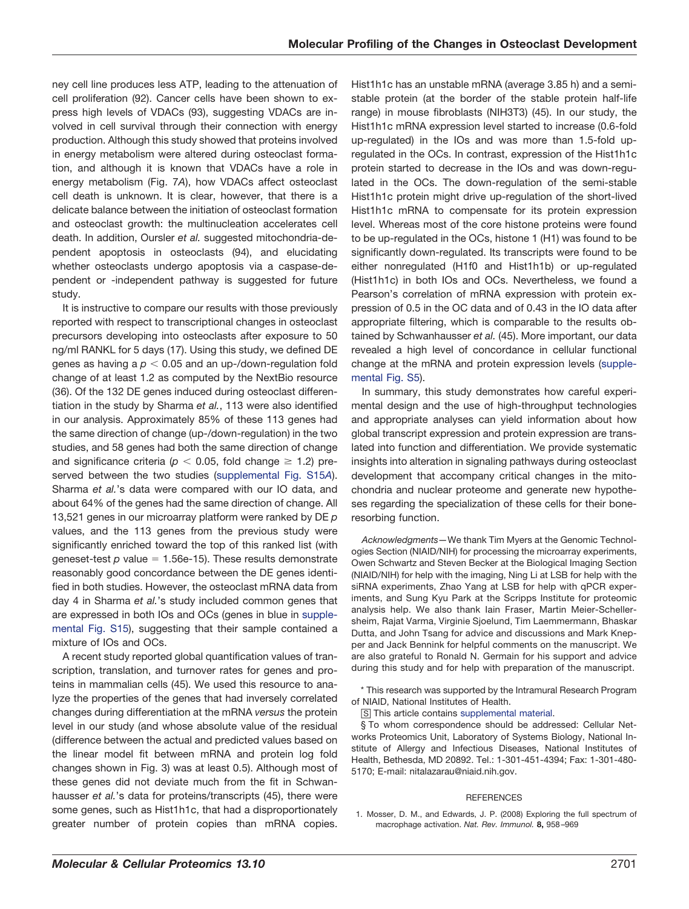ney cell line produces less ATP, leading to the attenuation of cell proliferation (92). Cancer cells have been shown to express high levels of VDACs (93), suggesting VDACs are involved in cell survival through their connection with energy production. Although this study showed that proteins involved in energy metabolism were altered during osteoclast formation, and although it is known that VDACs have a role in energy metabolism (Fig. 7*A*), how VDACs affect osteoclast cell death is unknown. It is clear, however, that there is a delicate balance between the initiation of osteoclast formation and osteoclast growth: the multinucleation accelerates cell death. In addition, Oursler *et al.* suggested mitochondria-dependent apoptosis in osteoclasts (94), and elucidating whether osteoclasts undergo apoptosis via a caspase-dependent or -independent pathway is suggested for future study.

It is instructive to compare our results with those previously reported with respect to transcriptional changes in osteoclast precursors developing into osteoclasts after exposure to 50 ng/ml RANKL for 5 days (17). Using this study, we defined DE genes as having a  $p < 0.05$  and an up-/down-regulation fold change of at least 1.2 as computed by the NextBio resource (36). Of the 132 DE genes induced during osteoclast differentiation in the study by Sharma *et al.*, 113 were also identified in our analysis. Approximately 85% of these 113 genes had the same direction of change (up-/down-regulation) in the two studies, and 58 genes had both the same direction of change and significance criteria ( $p < 0.05$ , fold change  $\geq 1.2$ ) preserved between the two studies (supplemental Fig. S15*A*). Sharma *et al.*'s data were compared with our IO data, and about 64% of the genes had the same direction of change. All 13,521 genes in our microarray platform were ranked by DE *p* values, and the 113 genes from the previous study were significantly enriched toward the top of this ranked list (with geneset-test  $p$  value = 1.56e-15). These results demonstrate reasonably good concordance between the DE genes identified in both studies. However, the osteoclast mRNA data from day 4 in Sharma *et al.*'s study included common genes that are expressed in both IOs and OCs (genes in blue in supplemental Fig. S15), suggesting that their sample contained a mixture of IOs and OCs.

A recent study reported global quantification values of transcription, translation, and turnover rates for genes and proteins in mammalian cells (45). We used this resource to analyze the properties of the genes that had inversely correlated changes during differentiation at the mRNA *versus* the protein level in our study (and whose absolute value of the residual (difference between the actual and predicted values based on the linear model fit between mRNA and protein log fold changes shown in Fig. 3) was at least 0.5). Although most of these genes did not deviate much from the fit in Schwanhausser *et al.*'s data for proteins/transcripts (45), there were some genes, such as Hist1h1c, that had a disproportionately greater number of protein copies than mRNA copies.

Hist1h1c has an unstable mRNA (average 3.85 h) and a semistable protein (at the border of the stable protein half-life range) in mouse fibroblasts (NIH3T3) (45). In our study, the Hist1h1c mRNA expression level started to increase (0.6-fold up-regulated) in the IOs and was more than 1.5-fold upregulated in the OCs. In contrast, expression of the Hist1h1c protein started to decrease in the IOs and was down-regulated in the OCs. The down-regulation of the semi-stable Hist1h1c protein might drive up-regulation of the short-lived Hist1h1c mRNA to compensate for its protein expression level. Whereas most of the core histone proteins were found to be up-regulated in the OCs, histone 1 (H1) was found to be significantly down-regulated. Its transcripts were found to be either nonregulated (H1f0 and Hist1h1b) or up-regulated (Hist1h1c) in both IOs and OCs. Nevertheless, we found a Pearson's correlation of mRNA expression with protein expression of 0.5 in the OC data and of 0.43 in the IO data after appropriate filtering, which is comparable to the results obtained by Schwanhausser *et al.* (45). More important, our data revealed a high level of concordance in cellular functional change at the mRNA and protein expression levels (supplemental Fig. S5).

In summary, this study demonstrates how careful experimental design and the use of high-throughput technologies and appropriate analyses can yield information about how global transcript expression and protein expression are translated into function and differentiation. We provide systematic insights into alteration in signaling pathways during osteoclast development that accompany critical changes in the mitochondria and nuclear proteome and generate new hypotheses regarding the specialization of these cells for their boneresorbing function.

*Acknowledgments—*We thank Tim Myers at the Genomic Technologies Section (NIAID/NIH) for processing the microarray experiments, Owen Schwartz and Steven Becker at the Biological Imaging Section (NIAID/NIH) for help with the imaging, Ning Li at LSB for help with the siRNA experiments, Zhao Yang at LSB for help with qPCR experiments, and Sung Kyu Park at the Scripps Institute for proteomic analysis help. We also thank Iain Fraser, Martin Meier-Schellersheim, Rajat Varma, Virginie Sjoelund, Tim Laemmermann, Bhaskar Dutta, and John Tsang for advice and discussions and Mark Knepper and Jack Bennink for helpful comments on the manuscript. We are also grateful to Ronald N. Germain for his support and advice during this study and for help with preparation of the manuscript.

\* This research was supported by the Intramural Research Program of NIAID, National Institutes of Health.

□S This article contains supplemental material.

§ To whom correspondence should be addressed: Cellular Networks Proteomics Unit, Laboratory of Systems Biology, National Institute of Allergy and Infectious Diseases, National Institutes of Health, Bethesda, MD 20892. Tel.: 1-301-451-4394; Fax: 1-301-480- 5170; E-mail: nitalazarau@niaid.nih.gov.

### REFERENCES

1. Mosser, D. M., and Edwards, J. P. (2008) Exploring the full spectrum of macrophage activation. *Nat. Rev. Immunol.* **8,** 958–969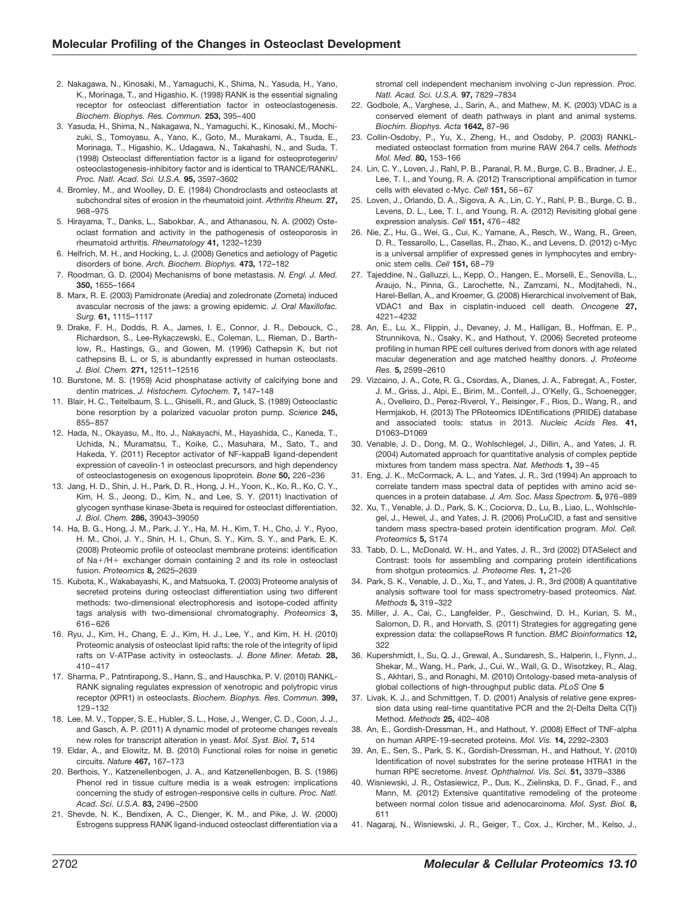- 2. Nakagawa, N., Kinosaki, M., Yamaguchi, K., Shima, N., Yasuda, H., Yano, K., Morinaga, T., and Higashio, K. (1998) RANK is the essential signaling receptor for osteoclast differentiation factor in osteoclastogenesis. *Biochem. Biophys. Res. Commun.* **253,** 395–400
- 3. Yasuda, H., Shima, N., Nakagawa, N., Yamaguchi, K., Kinosaki, M., Mochizuki, S., Tomoyasu, A., Yano, K., Goto, M., Murakami, A., Tsuda, E., Morinaga, T., Higashio, K., Udagawa, N., Takahashi, N., and Suda, T. (1998) Osteoclast differentiation factor is a ligand for osteoprotegerin/ osteoclastogenesis-inhibitory factor and is identical to TRANCE/RANKL. *Proc. Natl. Acad. Sci. U.S.A.* **95,** 3597–3602
- 4. Bromley, M., and Woolley, D. E. (1984) Chondroclasts and osteoclasts at subchondral sites of erosion in the rheumatoid joint. *Arthritis Rheum.* **27,** 968–975
- 5. Hirayama, T., Danks, L., Sabokbar, A., and Athanasou, N. A. (2002) Osteoclast formation and activity in the pathogenesis of osteoporosis in rheumatoid arthritis. *Rheumatology* **41,** 1232–1239
- 6. Helfrich, M. H., and Hocking, L. J. (2008) Genetics and aetiology of Pagetic disorders of bone. *Arch. Biochem. Biophys.* **473,** 172–182
- 7. Roodman, G. D. (2004) Mechanisms of bone metastasis. *N. Engl. J. Med.* **350,** 1655–1664
- 8. Marx, R. E. (2003) Pamidronate (Aredia) and zoledronate (Zometa) induced avascular necrosis of the jaws: a growing epidemic. *J. Oral Maxillofac. Surg.* **61,** 1115–1117
- 9. Drake, F. H., Dodds, R. A., James, I. E., Connor, J. R., Debouck, C., Richardson, S., Lee-Rykaczewski, E., Coleman, L., Rieman, D., Barthlow, R., Hastings, G., and Gowen, M. (1996) Cathepsin K, but not cathepsins B, L, or S, is abundantly expressed in human osteoclasts. *J. Biol. Chem.* **271,** 12511–12516
- 10. Burstone, M. S. (1959) Acid phosphatase activity of calcifying bone and dentin matrices. *J. Histochem. Cytochem.* **7,** 147–148
- 11. Blair, H. C., Teitelbaum, S. L., Ghiselli, R., and Gluck, S. (1989) Osteoclastic bone resorption by a polarized vacuolar proton pump. *Science* **245,** 855–857
- 12. Hada, N., Okayasu, M., Ito, J., Nakayachi, M., Hayashida, C., Kaneda, T., Uchida, N., Muramatsu, T., Koike, C., Masuhara, M., Sato, T., and Hakeda, Y. (2011) Receptor activator of NF-kappaB ligand-dependent expression of caveolin-1 in osteoclast precursors, and high dependency of osteoclastogenesis on exogenous lipoprotein. *Bone* **50,** 226–236
- 13. Jang, H. D., Shin, J. H., Park, D. R., Hong, J. H., Yoon, K., Ko, R., Ko, C. Y., Kim, H. S., Jeong, D., Kim, N., and Lee, S. Y. (2011) Inactivation of glycogen synthase kinase-3beta is required for osteoclast differentiation. *J. Biol. Chem.* **286,** 39043–39050
- 14. Ha, B. G., Hong, J. M., Park, J. Y., Ha, M. H., Kim, T. H., Cho, J. Y., Ryoo, H. M., Choi, J. Y., Shin, H. I., Chun, S. Y., Kim, S. Y., and Park, E. K. (2008) Proteomic profile of osteoclast membrane proteins: identification of Na+/H+ exchanger domain containing 2 and its role in osteoclast fusion. *Proteomics* **8,** 2625–2639
- 15. Kubota, K., Wakabayashi, K., and Matsuoka, T. (2003) Proteome analysis of secreted proteins during osteoclast differentiation using two different methods: two-dimensional electrophoresis and isotope-coded affinity tags analysis with two-dimensional chromatography. *Proteomics* **3,** 616–626
- 16. Ryu, J., Kim, H., Chang, E. J., Kim, H. J., Lee, Y., and Kim, H. H. (2010) Proteomic analysis of osteoclast lipid rafts: the role of the integrity of lipid rafts on V-ATPase activity in osteoclasts. *J. Bone Miner. Metab.* **28,** 410–417
- 17. Sharma, P., Patntirapong, S., Hann, S., and Hauschka, P. V. (2010) RANKL-RANK signaling regulates expression of xenotropic and polytropic virus receptor (XPR1) in osteoclasts. *Biochem. Biophys. Res. Commun.* **399,** 129–132
- 18. Lee, M. V., Topper, S. E., Hubler, S. L., Hose, J., Wenger, C. D., Coon, J. J., and Gasch, A. P. (2011) A dynamic model of proteome changes reveals new roles for transcript alteration in yeast. *Mol. Syst. Biol.* **7,** 514
- 19. Eldar, A., and Elowitz, M. B. (2010) Functional roles for noise in genetic circuits. *Nature* **467,** 167–173
- 20. Berthois, Y., Katzenellenbogen, J. A., and Katzenellenbogen, B. S. (1986) Phenol red in tissue culture media is a weak estrogen: implications concerning the study of estrogen-responsive cells in culture. *Proc. Natl. Acad. Sci. U.S.A.* **83,** 2496–2500
- 21. Shevde, N. K., Bendixen, A. C., Dienger, K. M., and Pike, J. W. (2000) Estrogens suppress RANK ligand-induced osteoclast differentiation via a

stromal cell independent mechanism involving c-Jun repression. *Proc. Natl. Acad. Sci. U.S.A.* **97,** 7829–7834

- 22. Godbole, A., Varghese, J., Sarin, A., and Mathew, M. K. (2003) VDAC is a conserved element of death pathways in plant and animal systems. *Biochim. Biophys. Acta* **1642,** 87–96
- 23. Collin-Osdoby, P., Yu, X., Zheng, H., and Osdoby, P. (2003) RANKLmediated osteoclast formation from murine RAW 264.7 cells. *Methods Mol. Med.* **80,** 153–166
- 24. Lin, C. Y., Loven, J., Rahl, P. B., Paranal, R. M., Burge, C. B., Bradner, J. E., Lee, T. I., and Young, R. A. (2012) Transcriptional amplification in tumor cells with elevated c-Myc. *Cell* **151,** 56–67
- 25. Loven, J., Orlando, D. A., Sigova, A. A., Lin, C. Y., Rahl, P. B., Burge, C. B., Levens, D. L., Lee, T. I., and Young, R. A. (2012) Revisiting global gene expression analysis. *Cell* **151,** 476–482
- 26. Nie, Z., Hu, G., Wei, G., Cui, K., Yamane, A., Resch, W., Wang, R., Green, D. R., Tessarollo, L., Casellas, R., Zhao, K., and Levens, D. (2012) c-Myc is a universal amplifier of expressed genes in lymphocytes and embryonic stem cells. *Cell* **151,** 68–79
- 27. Tajeddine, N., Galluzzi, L., Kepp, O., Hangen, E., Morselli, E., Senovilla, L., Araujo, N., Pinna, G., Larochette, N., Zamzami, N., Modjtahedi, N., Harel-Bellan, A., and Kroemer, G. (2008) Hierarchical involvement of Bak, VDAC1 and Bax in cisplatin-induced cell death. *Oncogene* **27,** 4221–4232
- 28. An, E., Lu, X., Flippin, J., Devaney, J. M., Halligan, B., Hoffman, E. P., Strunnikova, N., Csaky, K., and Hathout, Y. (2006) Secreted proteome profiling in human RPE cell cultures derived from donors with age related macular degeneration and age matched healthy donors. *J. Proteome Res.* **5,** 2599–2610
- 29. Vizcaino, J. A., Cote, R. G., Csordas, A., Dianes, J. A., Fabregat, A., Foster, J. M., Griss, J., Alpi, E., Birim, M., Contell, J., O'Kelly, G., Schoenegger, A., Ovelleiro, D., Perez-Riverol, Y., Reisinger, F., Rios, D., Wang, R., and Hermjakob, H. (2013) The PRoteomics IDEntifications (PRIDE) database and associated tools: status in 2013. *Nucleic Acids Res.* **41,** D1063–D1069
- 30. Venable, J. D., Dong, M. Q., Wohlschlegel, J., Dillin, A., and Yates, J. R. (2004) Automated approach for quantitative analysis of complex peptide mixtures from tandem mass spectra. *Nat. Methods* **1,** 39–45
- 31. Eng, J. K., McCormack, A. L., and Yates, J. R., 3rd (1994) An approach to correlate tandem mass spectral data of peptides with amino acid sequences in a protein database. *J. Am. Soc. Mass Spectrom.* **5,** 976–989
- 32. Xu, T., Venable, J. D., Park, S. K., Cociorva, D., Lu, B., Liao, L., Wohlschlegel, J., Hewel, J., and Yates, J. R. (2006) ProLuCID, a fast and sensitive tandem mass spectra-based protein identification program. *Mol. Cell. Proteomics* **5,** S174
- 33. Tabb, D. L., McDonald, W. H., and Yates, J. R., 3rd (2002) DTASelect and Contrast: tools for assembling and comparing protein identifications from shotgun proteomics. *J. Proteome Res.* **1,** 21–26
- 34. Park, S. K., Venable, J. D., Xu, T., and Yates, J. R., 3rd (2008) A quantitative analysis software tool for mass spectrometry-based proteomics. *Nat. Methods* **5,** 319–322
- 35. Miller, J. A., Cai, C., Langfelder, P., Geschwind, D. H., Kurian, S. M., Salomon, D. R., and Horvath, S. (2011) Strategies for aggregating gene expression data: the collapseRows R function. *BMC Bioinformatics* **12,** 322
- 36. Kupershmidt, I., Su, Q. J., Grewal, A., Sundaresh, S., Halperin, I., Flynn, J., Shekar, M., Wang, H., Park, J., Cui, W., Wall, G. D., Wisotzkey, R., Alag, S., Akhtari, S., and Ronaghi, M. (2010) Ontology-based meta-analysis of global collections of high-throughput public data. *PLoS One* **5**
- 37. Livak, K. J., and Schmittgen, T. D. (2001) Analysis of relative gene expression data using real-time quantitative PCR and the 2(-Delta Delta C(T)) Method. *Methods* **25,** 402–408
- 38. An, E., Gordish-Dressman, H., and Hathout, Y. (2008) Effect of TNF-alpha on human ARPE-19-secreted proteins. *Mol. Vis.* **14,** 2292–2303
- 39. An, E., Sen, S., Park, S. K., Gordish-Dressman, H., and Hathout, Y. (2010) Identification of novel substrates for the serine protease HTRA1 in the human RPE secretome. *Invest. Ophthalmol. Vis. Sci.* **51,** 3379–3386
- 40. Wisniewski, J. R., Ostasiewicz, P., Dus, K., Zielinska, D. F., Gnad, F., and Mann, M. (2012) Extensive quantitative remodeling of the proteome between normal colon tissue and adenocarcinoma. *Mol. Syst. Biol.* **8,** 611
- 41. Nagaraj, N., Wisniewski, J. R., Geiger, T., Cox, J., Kircher, M., Kelso, J.,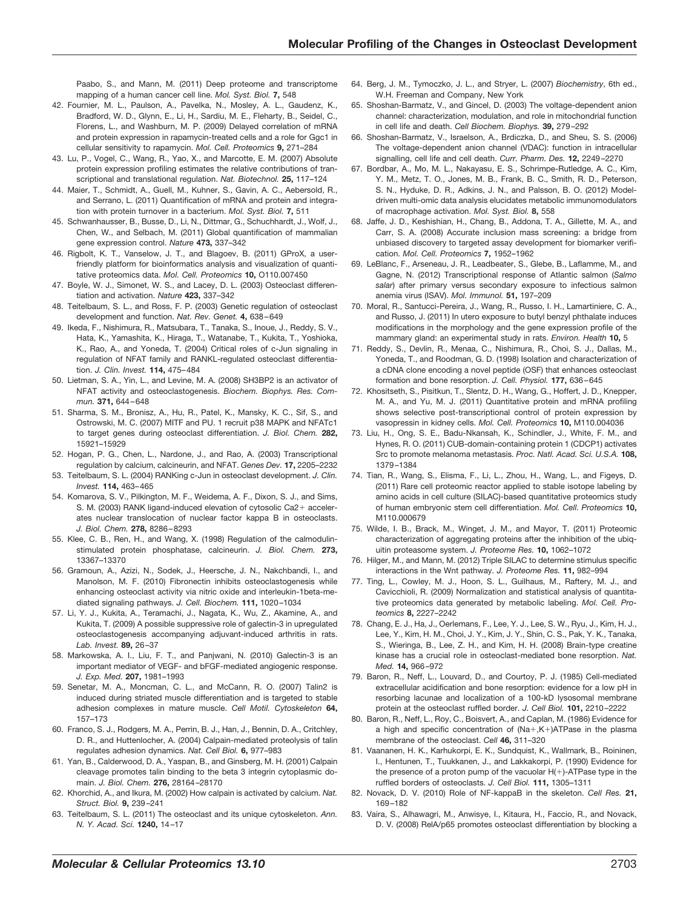Paabo, S., and Mann, M. (2011) Deep proteome and transcriptome mapping of a human cancer cell line. *Mol. Syst. Biol.* **7,** 548

- 42. Fournier, M. L., Paulson, A., Pavelka, N., Mosley, A. L., Gaudenz, K., Bradford, W. D., Glynn, E., Li, H., Sardiu, M. E., Fleharty, B., Seidel, C., Florens, L., and Washburn, M. P. (2009) Delayed correlation of mRNA and protein expression in rapamycin-treated cells and a role for Ggc1 in cellular sensitivity to rapamycin. *Mol. Cell. Proteomics* **9,** 271–284
- 43. Lu, P., Vogel, C., Wang, R., Yao, X., and Marcotte, E. M. (2007) Absolute protein expression profiling estimates the relative contributions of transcriptional and translational regulation. *Nat. Biotechnol.* **25,** 117–124
- 44. Maier, T., Schmidt, A., Guell, M., Kuhner, S., Gavin, A. C., Aebersold, R., and Serrano, L. (2011) Quantification of mRNA and protein and integration with protein turnover in a bacterium. *Mol. Syst. Biol.* **7,** 511
- 45. Schwanhausser, B., Busse, D., Li, N., Dittmar, G., Schuchhardt, J., Wolf, J., Chen, W., and Selbach, M. (2011) Global quantification of mammalian gene expression control. *Nature* **473,** 337–342
- 46. Rigbolt, K. T., Vanselow, J. T., and Blagoev, B. (2011) GProX, a userfriendly platform for bioinformatics analysis and visualization of quantitative proteomics data. *Mol. Cell. Proteomics* **10,** O110.007450
- 47. Boyle, W. J., Simonet, W. S., and Lacey, D. L. (2003) Osteoclast differentiation and activation. *Nature* **423,** 337–342
- 48. Teitelbaum, S. L., and Ross, F. P. (2003) Genetic regulation of osteoclast development and function. *Nat. Rev. Genet.* **4,** 638–649
- 49. Ikeda, F., Nishimura, R., Matsubara, T., Tanaka, S., Inoue, J., Reddy, S. V., Hata, K., Yamashita, K., Hiraga, T., Watanabe, T., Kukita, T., Yoshioka, K., Rao, A., and Yoneda, T. (2004) Critical roles of c-Jun signaling in regulation of NFAT family and RANKL-regulated osteoclast differentiation. *J. Clin. Invest.* **114,** 475–484
- 50. Lietman, S. A., Yin, L., and Levine, M. A. (2008) SH3BP2 is an activator of NFAT activity and osteoclastogenesis. *Biochem. Biophys. Res. Commun.* **371,** 644–648
- 51. Sharma, S. M., Bronisz, A., Hu, R., Patel, K., Mansky, K. C., Sif, S., and Ostrowski, M. C. (2007) MITF and PU. 1 recruit p38 MAPK and NFATc1 to target genes during osteoclast differentiation. *J. Biol. Chem.* **282,** 15921–15929
- 52. Hogan, P. G., Chen, L., Nardone, J., and Rao, A. (2003) Transcriptional regulation by calcium, calcineurin, and NFAT. *Genes Dev.* **17,** 2205–2232
- 53. Teitelbaum, S. L. (2004) RANKing c-Jun in osteoclast development. *J. Clin. Invest.* **114,** 463–465
- 54. Komarova, S. V., Pilkington, M. F., Weidema, A. F., Dixon, S. J., and Sims, S. M. (2003) RANK ligand-induced elevation of cytosolic Ca2+ accelerates nuclear translocation of nuclear factor kappa B in osteoclasts. *J. Biol. Chem.* **278,** 8286–8293
- 55. Klee, C. B., Ren, H., and Wang, X. (1998) Regulation of the calmodulinstimulated protein phosphatase, calcineurin. *J. Biol. Chem.* **273,** 13367–13370
- 56. Gramoun, A., Azizi, N., Sodek, J., Heersche, J. N., Nakchbandi, I., and Manolson, M. F. (2010) Fibronectin inhibits osteoclastogenesis while enhancing osteoclast activity via nitric oxide and interleukin-1beta-mediated signaling pathways. *J. Cell. Biochem.* **111,** 1020–1034
- 57. Li, Y. J., Kukita, A., Teramachi, J., Nagata, K., Wu, Z., Akamine, A., and Kukita, T. (2009) A possible suppressive role of galectin-3 in upregulated osteoclastogenesis accompanying adjuvant-induced arthritis in rats. *Lab. Invest.* **89,** 26–37
- 58. Markowska, A. I., Liu, F. T., and Panjwani, N. (2010) Galectin-3 is an important mediator of VEGF- and bFGF-mediated angiogenic response. *J. Exp. Med.* **207,** 1981–1993
- 59. Senetar, M. A., Moncman, C. L., and McCann, R. O. (2007) Talin2 is induced during striated muscle differentiation and is targeted to stable adhesion complexes in mature muscle. *Cell Motil. Cytoskeleton* **64,** 157–173
- 60. Franco, S. J., Rodgers, M. A., Perrin, B. J., Han, J., Bennin, D. A., Critchley, D. R., and Huttenlocher, A. (2004) Calpain-mediated proteolysis of talin regulates adhesion dynamics. *Nat. Cell Biol.* **6,** 977–983
- 61. Yan, B., Calderwood, D. A., Yaspan, B., and Ginsberg, M. H. (2001) Calpain cleavage promotes talin binding to the beta 3 integrin cytoplasmic domain. *J. Biol. Chem.* **276,** 28164–28170
- 62. Khorchid, A., and Ikura, M. (2002) How calpain is activated by calcium. *Nat. Struct. Biol.* **9,** 239–241
- 63. Teitelbaum, S. L. (2011) The osteoclast and its unique cytoskeleton. *Ann. N. Y. Acad. Sci.* **1240,** 14–17
- 64. Berg, J. M., Tymoczko, J. L., and Stryer, L. (2007) *Biochemistry*, 6th ed., W.H. Freeman and Company, New York
- 65. Shoshan-Barmatz, V., and Gincel, D. (2003) The voltage-dependent anion channel: characterization, modulation, and role in mitochondrial function in cell life and death. *Cell Biochem. Biophys.* **39,** 279–292
- 66. Shoshan-Barmatz, V., Israelson, A., Brdiczka, D., and Sheu, S. S. (2006) The voltage-dependent anion channel (VDAC): function in intracellular signalling, cell life and cell death. *Curr. Pharm. Des.* **12,** 2249–2270
- 67. Bordbar, A., Mo, M. L., Nakayasu, E. S., Schrimpe-Rutledge, A. C., Kim, Y. M., Metz, T. O., Jones, M. B., Frank, B. C., Smith, R. D., Peterson, S. N., Hyduke, D. R., Adkins, J. N., and Palsson, B. O. (2012) Modeldriven multi-omic data analysis elucidates metabolic immunomodulators of macrophage activation. *Mol. Syst. Biol.* **8,** 558
- 68. Jaffe, J. D., Keshishian, H., Chang, B., Addona, T. A., Gillette, M. A., and Carr, S. A. (2008) Accurate inclusion mass screening: a bridge from unbiased discovery to targeted assay development for biomarker verification. *Mol. Cell. Proteomics* **7,** 1952–1962
- 69. LeBlanc, F., Arseneau, J. R., Leadbeater, S., Glebe, B., Laflamme, M., and Gagne, N. (2012) Transcriptional response of Atlantic salmon (*Salmo salar*) after primary versus secondary exposure to infectious salmon anemia virus (ISAV). *Mol. Immunol.* **51,** 197–209
- 70. Moral, R., Santucci-Pereira, J., Wang, R., Russo, I. H., Lamartiniere, C. A., and Russo, J. (2011) In utero exposure to butyl benzyl phthalate induces modifications in the morphology and the gene expression profile of the mammary gland: an experimental study in rats. *Environ. Health* **10,** 5
- 71. Reddy, S., Devlin, R., Menaa, C., Nishimura, R., Choi, S. J., Dallas, M., Yoneda, T., and Roodman, G. D. (1998) Isolation and characterization of a cDNA clone encoding a novel peptide (OSF) that enhances osteoclast formation and bone resorption. *J. Cell. Physiol.* **177,** 636–645
- 72. Khositseth, S., Pisitkun, T., Slentz, D. H., Wang, G., Hoffert, J. D., Knepper, M. A., and Yu, M. J. (2011) Quantitative protein and mRNA profiling shows selective post-transcriptional control of protein expression by vasopressin in kidney cells. *Mol. Cell. Proteomics* **10,** M110.004036
- 73. Liu, H., Ong, S. E., Badu-Nkansah, K., Schindler, J., White, F. M., and Hynes, R. O. (2011) CUB-domain-containing protein 1 (CDCP1) activates Src to promote melanoma metastasis. *Proc. Natl. Acad. Sci. U.S.A.* **108,** 1379–1384
- 74. Tian, R., Wang, S., Elisma, F., Li, L., Zhou, H., Wang, L., and Figeys, D. (2011) Rare cell proteomic reactor applied to stable isotope labeling by amino acids in cell culture (SILAC)-based quantitative proteomics study of human embryonic stem cell differentiation. *Mol. Cell. Proteomics* **10,** M110.000679
- 75. Wilde, I. B., Brack, M., Winget, J. M., and Mayor, T. (2011) Proteomic characterization of aggregating proteins after the inhibition of the ubiquitin proteasome system. *J. Proteome Res.* **10,** 1062–1072
- 76. Hilger, M., and Mann, M. (2012) Triple SILAC to determine stimulus specific interactions in the Wnt pathway. *J. Proteome Res.* **11,** 982–994
- 77. Ting, L., Cowley, M. J., Hoon, S. L., Guilhaus, M., Raftery, M. J., and Cavicchioli, R. (2009) Normalization and statistical analysis of quantitative proteomics data generated by metabolic labeling. *Mol. Cell. Proteomics* **8,** 2227–2242
- 78. Chang, E. J., Ha, J., Oerlemans, F., Lee, Y. J., Lee, S. W., Ryu, J., Kim, H. J., Lee, Y., Kim, H. M., Choi, J. Y., Kim, J. Y., Shin, C. S., Pak, Y. K., Tanaka, S., Wieringa, B., Lee, Z. H., and Kim, H. H. (2008) Brain-type creatine kinase has a crucial role in osteoclast-mediated bone resorption. *Nat. Med.* **14,** 966–972
- 79. Baron, R., Neff, L., Louvard, D., and Courtoy, P. J. (1985) Cell-mediated extracellular acidification and bone resorption: evidence for a low pH in resorbing lacunae and localization of a 100-kD lysosomal membrane protein at the osteoclast ruffled border. *J. Cell Biol.* **101,** 2210–2222
- 80. Baron, R., Neff, L., Roy, C., Boisvert, A., and Caplan, M. (1986) Evidence for a high and specific concentration of (Na+,K+)ATPase in the plasma membrane of the osteoclast. *Cell* **46,** 311–320
- 81. Vaananen, H. K., Karhukorpi, E. K., Sundquist, K., Wallmark, B., Roininen, I., Hentunen, T., Tuukkanen, J., and Lakkakorpi, P. (1990) Evidence for the presence of a proton pump of the vacuolar  $H(+)$ -ATPase type in the ruffled borders of osteoclasts. *J. Cell Biol.* **111,** 1305–1311
- 82. Novack, D. V. (2010) Role of NF-kappaB in the skeleton. *Cell Res.* **21,** 169–182
- 83. Vaira, S., Alhawagri, M., Anwisye, I., Kitaura, H., Faccio, R., and Novack, D. V. (2008) RelA/p65 promotes osteoclast differentiation by blocking a